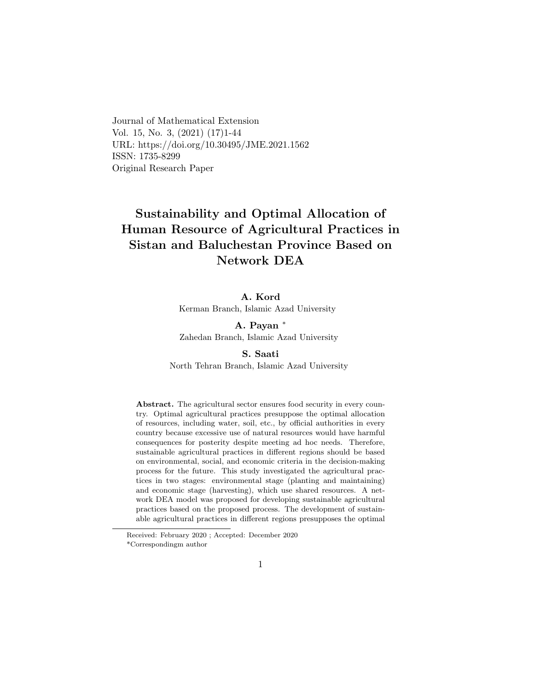Journal of Mathematical Extension Vol. 15, No. 3, (2021) (17)1-44 URL: https://doi.org/10.30495/JME.2021.1562 ISSN: 1735-8299 Original Research Paper

# Sustainability and Optimal Allocation of Human Resource of Agricultural Practices in Sistan and Baluchestan Province Based on Network DEA

#### A. Kord

Kerman Branch, Islamic Azad University

A. Payan <sup>∗</sup> Zahedan Branch, Islamic Azad University

#### S. Saati

North Tehran Branch, Islamic Azad University

Abstract. The agricultural sector ensures food security in every country. Optimal agricultural practices presuppose the optimal allocation of resources, including water, soil, etc., by official authorities in every country because excessive use of natural resources would have harmful consequences for posterity despite meeting ad hoc needs. Therefore, sustainable agricultural practices in different regions should be based on environmental, social, and economic criteria in the decision-making process for the future. This study investigated the agricultural practices in two stages: environmental stage (planting and maintaining) and economic stage (harvesting), which use shared resources. A network DEA model was proposed for developing sustainable agricultural practices based on the proposed process. The development of sustainable agricultural practices in different regions presupposes the optimal

Received: February 2020 ; Accepted: December 2020 \*Correspondingm author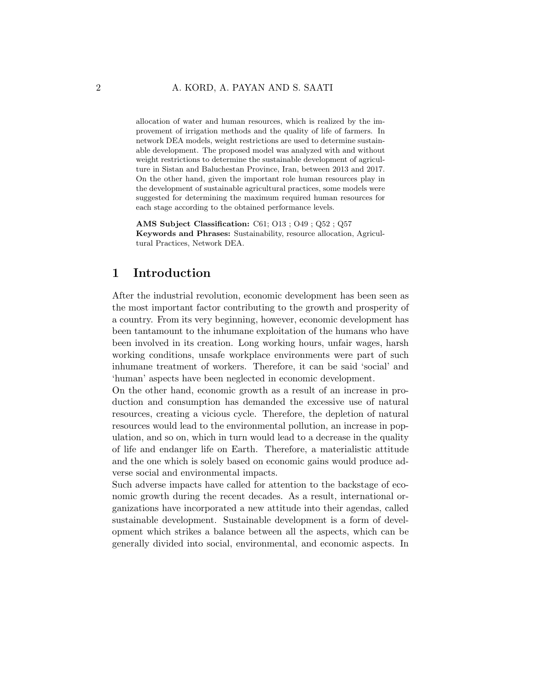allocation of water and human resources, which is realized by the improvement of irrigation methods and the quality of life of farmers. In network DEA models, weight restrictions are used to determine sustainable development. The proposed model was analyzed with and without weight restrictions to determine the sustainable development of agriculture in Sistan and Baluchestan Province, Iran, between 2013 and 2017. On the other hand, given the important role human resources play in the development of sustainable agricultural practices, some models were suggested for determining the maximum required human resources for each stage according to the obtained performance levels.

AMS Subject Classification: C61; O13 ; O49 ; Q52 ; Q57 Keywords and Phrases: Sustainability, resource allocation, Agricultural Practices, Network DEA.

### 1 Introduction

After the industrial revolution, economic development has been seen as the most important factor contributing to the growth and prosperity of a country. From its very beginning, however, economic development has been tantamount to the inhumane exploitation of the humans who have been involved in its creation. Long working hours, unfair wages, harsh working conditions, unsafe workplace environments were part of such inhumane treatment of workers. Therefore, it can be said 'social' and 'human' aspects have been neglected in economic development.

On the other hand, economic growth as a result of an increase in production and consumption has demanded the excessive use of natural resources, creating a vicious cycle. Therefore, the depletion of natural resources would lead to the environmental pollution, an increase in population, and so on, which in turn would lead to a decrease in the quality of life and endanger life on Earth. Therefore, a materialistic attitude and the one which is solely based on economic gains would produce adverse social and environmental impacts.

Such adverse impacts have called for attention to the backstage of economic growth during the recent decades. As a result, international organizations have incorporated a new attitude into their agendas, called sustainable development. Sustainable development is a form of development which strikes a balance between all the aspects, which can be generally divided into social, environmental, and economic aspects. In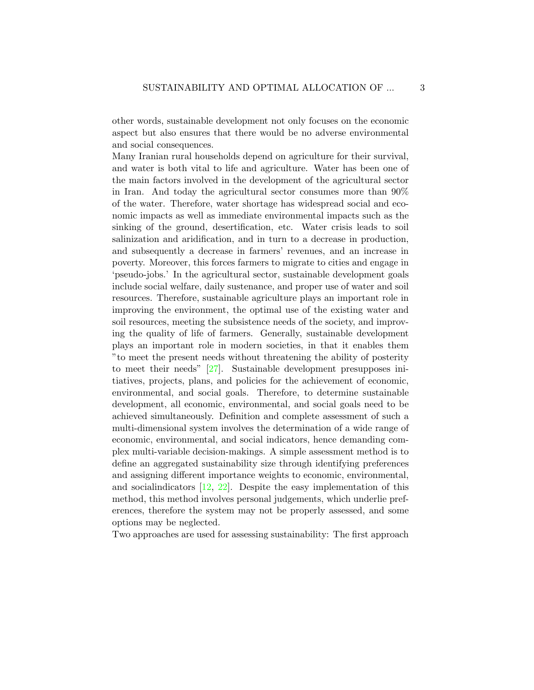other words, sustainable development not only focuses on the economic aspect but also ensures that there would be no adverse environmental and social consequences.

Many Iranian rural households depend on agriculture for their survival, and water is both vital to life and agriculture. Water has been one of the main factors involved in the development of the agricultural sector in Iran. And today the agricultural sector consumes more than 90% of the water. Therefore, water shortage has widespread social and economic impacts as well as immediate environmental impacts such as the sinking of the ground, desertification, etc. Water crisis leads to soil salinization and aridification, and in turn to a decrease in production, and subsequently a decrease in farmers' revenues, and an increase in poverty. Moreover, this forces farmers to migrate to cities and engage in 'pseudo-jobs.' In the agricultural sector, sustainable development goals include social welfare, daily sustenance, and proper use of water and soil resources. Therefore, sustainable agriculture plays an important role in improving the environment, the optimal use of the existing water and soil resources, meeting the subsistence needs of the society, and improving the quality of life of farmers. Generally, sustainable development plays an important role in modern societies, in that it enables them "to meet the present needs without threatening the ability of posterity to meet their needs" [\[27\]](#page-42-0). Sustainable development presupposes initiatives, projects, plans, and policies for the achievement of economic, environmental, and social goals. Therefore, to determine sustainable development, all economic, environmental, and social goals need to be achieved simultaneously. Definition and complete assessment of such a multi-dimensional system involves the determination of a wide range of economic, environmental, and social indicators, hence demanding complex multi-variable decision-makings. A simple assessment method is to define an aggregated sustainability size through identifying preferences and assigning different importance weights to economic, environmental, and socialindicators  $[12, 22]$  $[12, 22]$  $[12, 22]$ . Despite the easy implementation of this method, this method involves personal judgements, which underlie preferences, therefore the system may not be properly assessed, and some options may be neglected.

Two approaches are used for assessing sustainability: The first approach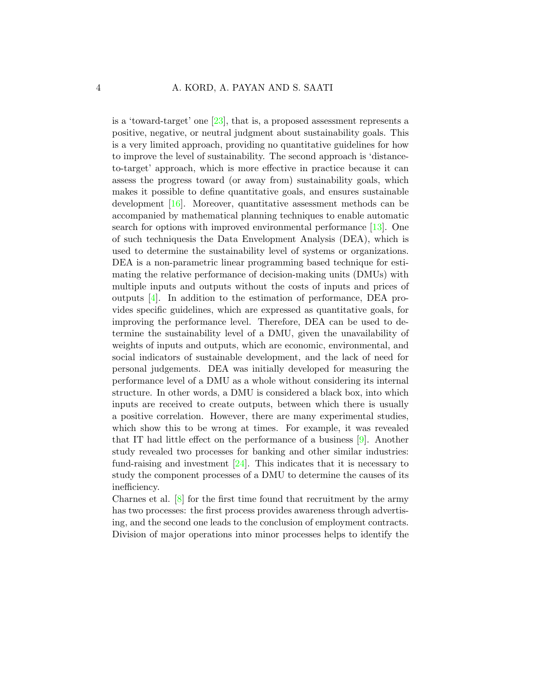is a 'toward-target' one [\[23\]](#page-42-2), that is, a proposed assessment represents a positive, negative, or neutral judgment about sustainability goals. This is a very limited approach, providing no quantitative guidelines for how to improve the level of sustainability. The second approach is 'distanceto-target' approach, which is more effective in practice because it can assess the progress toward (or away from) sustainability goals, which makes it possible to define quantitative goals, and ensures sustainable development [\[16\]](#page-41-1). Moreover, quantitative assessment methods can be accompanied by mathematical planning techniques to enable automatic search for options with improved environmental performance [\[13\]](#page-41-2). One of such techniquesis the Data Envelopment Analysis (DEA), which is used to determine the sustainability level of systems or organizations. DEA is a non-parametric linear programming based technique for estimating the relative performance of decision-making units (DMUs) with multiple inputs and outputs without the costs of inputs and prices of outputs [\[4\]](#page-40-0). In addition to the estimation of performance, DEA provides specific guidelines, which are expressed as quantitative goals, for improving the performance level. Therefore, DEA can be used to determine the sustainability level of a DMU, given the unavailability of weights of inputs and outputs, which are economic, environmental, and social indicators of sustainable development, and the lack of need for personal judgements. DEA was initially developed for measuring the performance level of a DMU as a whole without considering its internal structure. In other words, a DMU is considered a black box, into which inputs are received to create outputs, between which there is usually a positive correlation. However, there are many experimental studies, which show this to be wrong at times. For example, it was revealed that IT had little effect on the performance of a business [\[9\]](#page-40-1). Another study revealed two processes for banking and other similar industries: fund-raising and investment  $[24]$ . This indicates that it is necessary to study the component processes of a DMU to determine the causes of its inefficiency.

Charnes et al.  $[8]$  for the first time found that recruitment by the army has two processes: the first process provides awareness through advertising, and the second one leads to the conclusion of employment contracts. Division of major operations into minor processes helps to identify the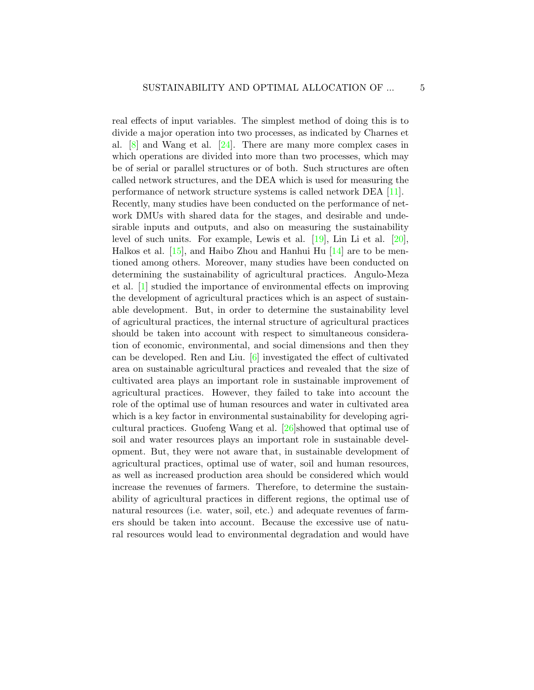real effects of input variables. The simplest method of doing this is to divide a major operation into two processes, as indicated by Charnes et al. [\[8\]](#page-40-2) and Wang et al. [\[24\]](#page-42-3). There are many more complex cases in which operations are divided into more than two processes, which may be of serial or parallel structures or of both. Such structures are often called network structures, and the DEA which is used for measuring the performance of network structure systems is called network DEA [\[11\]](#page-41-3). Recently, many studies have been conducted on the performance of network DMUs with shared data for the stages, and desirable and undesirable inputs and outputs, and also on measuring the sustainability level of such units. For example, Lewis et al. [\[19\]](#page-41-4), Lin Li et al. [\[20\]](#page-42-4), Halkos et al. [\[15\]](#page-41-5), and Haibo Zhou and Hanhui Hu [\[14\]](#page-41-6) are to be mentioned among others. Moreover, many studies have been conducted on determining the sustainability of agricultural practices. Angulo-Meza et al. [\[1\]](#page-40-3) studied the importance of environmental effects on improving the development of agricultural practices which is an aspect of sustainable development. But, in order to determine the sustainability level of agricultural practices, the internal structure of agricultural practices should be taken into account with respect to simultaneous consideration of economic, environmental, and social dimensions and then they can be developed. Ren and Liu. [\[6\]](#page-40-4) investigated the effect of cultivated area on sustainable agricultural practices and revealed that the size of cultivated area plays an important role in sustainable improvement of agricultural practices. However, they failed to take into account the role of the optimal use of human resources and water in cultivated area which is a key factor in environmental sustainability for developing agricultural practices. Guofeng Wang et al. [\[26\]](#page-42-5)showed that optimal use of soil and water resources plays an important role in sustainable development. But, they were not aware that, in sustainable development of agricultural practices, optimal use of water, soil and human resources, as well as increased production area should be considered which would increase the revenues of farmers. Therefore, to determine the sustainability of agricultural practices in different regions, the optimal use of natural resources (i.e. water, soil, etc.) and adequate revenues of farmers should be taken into account. Because the excessive use of natural resources would lead to environmental degradation and would have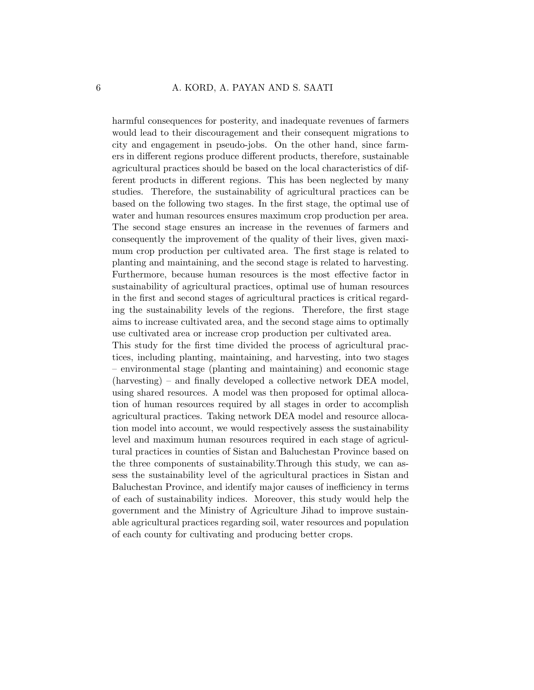harmful consequences for posterity, and inadequate revenues of farmers would lead to their discouragement and their consequent migrations to city and engagement in pseudo-jobs. On the other hand, since farmers in different regions produce different products, therefore, sustainable agricultural practices should be based on the local characteristics of different products in different regions. This has been neglected by many studies. Therefore, the sustainability of agricultural practices can be based on the following two stages. In the first stage, the optimal use of water and human resources ensures maximum crop production per area. The second stage ensures an increase in the revenues of farmers and consequently the improvement of the quality of their lives, given maximum crop production per cultivated area. The first stage is related to planting and maintaining, and the second stage is related to harvesting. Furthermore, because human resources is the most effective factor in sustainability of agricultural practices, optimal use of human resources in the first and second stages of agricultural practices is critical regarding the sustainability levels of the regions. Therefore, the first stage aims to increase cultivated area, and the second stage aims to optimally use cultivated area or increase crop production per cultivated area.

This study for the first time divided the process of agricultural practices, including planting, maintaining, and harvesting, into two stages – environmental stage (planting and maintaining) and economic stage (harvesting) – and finally developed a collective network DEA model, using shared resources. A model was then proposed for optimal allocation of human resources required by all stages in order to accomplish agricultural practices. Taking network DEA model and resource allocation model into account, we would respectively assess the sustainability level and maximum human resources required in each stage of agricultural practices in counties of Sistan and Baluchestan Province based on the three components of sustainability.Through this study, we can assess the sustainability level of the agricultural practices in Sistan and Baluchestan Province, and identify major causes of inefficiency in terms of each of sustainability indices. Moreover, this study would help the government and the Ministry of Agriculture Jihad to improve sustainable agricultural practices regarding soil, water resources and population of each county for cultivating and producing better crops.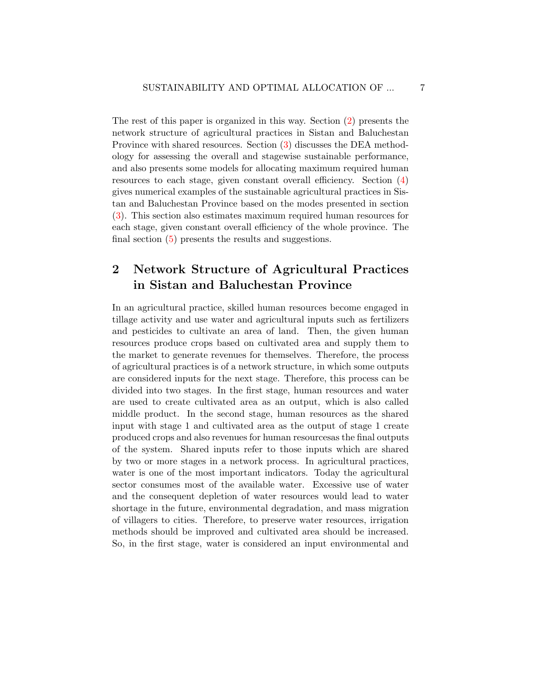The rest of this paper is organized in this way. Section [\(2\)](#page-6-0) presents the network structure of agricultural practices in Sistan and Baluchestan Province with shared resources. Section [\(3\)](#page-8-0) discusses the DEA methodology for assessing the overall and stagewise sustainable performance, and also presents some models for allocating maximum required human resources to each stage, given constant overall efficiency. Section [\(4\)](#page-24-0) gives numerical examples of the sustainable agricultural practices in Sistan and Baluchestan Province based on the modes presented in section [\(3\)](#page-8-0). This section also estimates maximum required human resources for each stage, given constant overall efficiency of the whole province. The final section [\(5\)](#page-38-0) presents the results and suggestions.

# <span id="page-6-0"></span>2 Network Structure of Agricultural Practices in Sistan and Baluchestan Province

In an agricultural practice, skilled human resources become engaged in tillage activity and use water and agricultural inputs such as fertilizers and pesticides to cultivate an area of land. Then, the given human resources produce crops based on cultivated area and supply them to the market to generate revenues for themselves. Therefore, the process of agricultural practices is of a network structure, in which some outputs are considered inputs for the next stage. Therefore, this process can be divided into two stages. In the first stage, human resources and water are used to create cultivated area as an output, which is also called middle product. In the second stage, human resources as the shared input with stage 1 and cultivated area as the output of stage 1 create produced crops and also revenues for human resourcesas the final outputs of the system. Shared inputs refer to those inputs which are shared by two or more stages in a network process. In agricultural practices, water is one of the most important indicators. Today the agricultural sector consumes most of the available water. Excessive use of water and the consequent depletion of water resources would lead to water shortage in the future, environmental degradation, and mass migration of villagers to cities. Therefore, to preserve water resources, irrigation methods should be improved and cultivated area should be increased. So, in the first stage, water is considered an input environmental and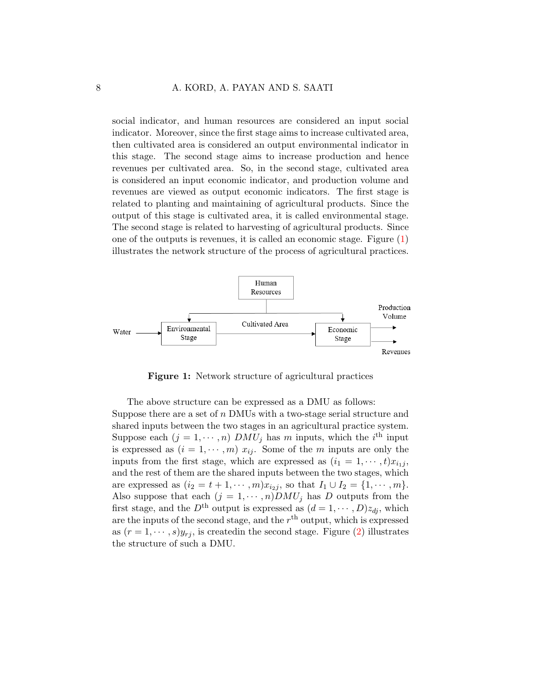social indicator, and human resources are considered an input social indicator. Moreover, since the first stage aims to increase cultivated area, then cultivated area is considered an output environmental indicator in this stage. The second stage aims to increase production and hence revenues per cultivated area. So, in the second stage, cultivated area is considered an input economic indicator, and production volume and revenues are viewed as output economic indicators. The first stage is related to planting and maintaining of agricultural products. Since the output of this stage is cultivated area, it is called environmental stage. The second stage is related to harvesting of agricultural products. Since one of the outputs is revenues, it is called an economic stage. Figure [\(1\)](#page-7-0) illustrates the network structure of the process of agricultural practices.

<span id="page-7-0"></span>

Figure 1: Network structure of agricultural practices

The above structure can be expressed as a DMU as follows: Suppose there are a set of n DMUs with a two-stage serial structure and shared inputs between the two stages in an agricultural practice system. Suppose each  $(j = 1, \dots, n)$   $DMU_j$  has m inputs, which the *i*<sup>th</sup> input is expressed as  $(i = 1, \dots, m)$   $x_{ij}$ . Some of the m inputs are only the inputs from the first stage, which are expressed as  $(i_1 = 1, \dots, t)x_{i_1j}$ , and the rest of them are the shared inputs between the two stages, which are expressed as  $(i_2 = t + 1, \dots, m)x_{i_2j}$ , so that  $I_1 \cup I_2 = \{1, \dots, m\}.$ Also suppose that each  $(j = 1, \cdots, n)DMU_j$  has D outputs from the first stage, and the  $D^{\text{th}}$  output is expressed as  $(d = 1, \dots, D)z_{dj}$ , which are the inputs of the second stage, and the  $r<sup>th</sup>$  output, which is expressed as  $(r = 1, \dots, s)y_{rj}$ , is created in the second stage. Figure [\(2\)](#page-8-1) illustrates the structure of such a DMU.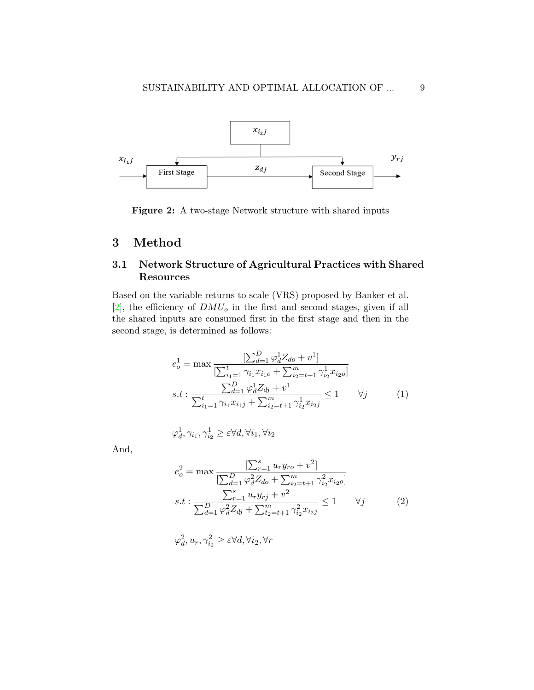<span id="page-8-1"></span>

Figure 2: A two-stage Network structure with shared inputs

## <span id="page-8-0"></span>3 Method

### 3.1 Network Structure of Agricultural Practices with Shared Resources

Based on the variable returns to scale (VRS) proposed by Banker et al.  $[2]$ , the efficiency of  $DMU<sub>o</sub>$  in the first and second stages, given if all the shared inputs are consumed first in the first stage and then in the second stage, is determined as follows:

$$
e_o^1 = \max \frac{\left[\sum_{d=1}^D \varphi_d^1 Z_{do} + v^1\right]}{\left[\sum_{i_1=1}^t \gamma_{i_1} x_{i_1} + \sum_{i_2=t+1}^m \gamma_{i_2}^1 x_{i_2} \right]}
$$
  
s.t: 
$$
\frac{\sum_{d=1}^D \varphi_d^1 Z_{dj} + v^1}{\sum_{i_1=1}^t \gamma_{i_1} x_{i_1} + \sum_{i_2=t+1}^m \gamma_{i_2}^1 x_{i_2} + \sum_{i_3=t+1}^m \gamma_{i_3}^1 x_{i_3}} \le 1 \qquad \forall j \tag{1}
$$

<span id="page-8-2"></span>
$$
\varphi_d^1, \gamma_{i_1}, \gamma_{i_2}^1 \ge \varepsilon \forall d, \forall i_1, \forall i_2
$$

And,

<span id="page-8-3"></span>
$$
e_o^2 = \max \frac{\left[\sum_{r=1}^s u_r y_{ro} + v^2\right]}{\left[\sum_{d=1}^D \varphi_d^2 Z_{do} + \sum_{i_2 = t+1}^m \gamma_{i_2}^2 x_{i_2 o}\right]}
$$
  
s.t: 
$$
\frac{\sum_{r=1}^s u_r y_{rj} + v^2}{\sum_{d=1}^D \varphi_d^2 Z_{dj} + \sum_{t_2 = t+1}^m \gamma_{i_2}^2 x_{i_2 j}} \le 1 \qquad \forall j \tag{2}
$$

$$
\varphi_d^2, u_r, \gamma_{i_2}^2 \ge \varepsilon \forall d, \forall i_2, \forall r
$$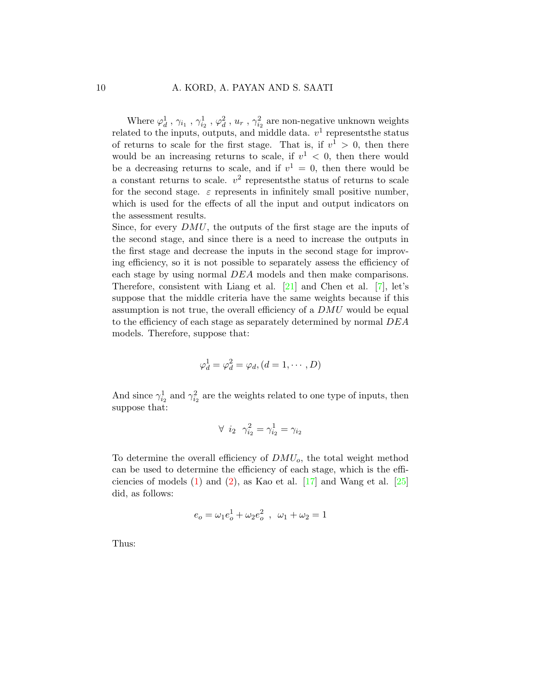Where  $\varphi_d^1$ ,  $\gamma_{i_1}$ ,  $\gamma_{i_2}^1$ ,  $\varphi_d^2$ ,  $u_r$ ,  $\gamma_{i_2}^2$  are non-negative unknown weights related to the inputs, outputs, and middle data.  $v^1$  represents the status of returns to scale for the first stage. That is, if  $v^1 > 0$ , then there would be an increasing returns to scale, if  $v^1$  < 0, then there would be a decreasing returns to scale, and if  $v^1 = 0$ , then there would be a constant returns to scale.  $v^2$  represents the status of returns to scale for the second stage.  $\varepsilon$  represents in infinitely small positive number, which is used for the effects of all the input and output indicators on the assessment results.

Since, for every DMU, the outputs of the first stage are the inputs of the second stage, and since there is a need to increase the outputs in the first stage and decrease the inputs in the second stage for improving efficiency, so it is not possible to separately assess the efficiency of each stage by using normal DEA models and then make comparisons. Therefore, consistent with Liang et al. [\[21\]](#page-42-6) and Chen et al. [\[7\]](#page-40-6), let's suppose that the middle criteria have the same weights because if this assumption is not true, the overall efficiency of a DMU would be equal to the efficiency of each stage as separately determined by normal DEA models. Therefore, suppose that:

$$
\varphi_d^1 = \varphi_d^2 = \varphi_d, (d = 1, \cdots, D)
$$

And since  $\gamma_{i_2}^1$  and  $\gamma_{i_2}^2$  are the weights related to one type of inputs, then suppose that:

$$
\forall \ \ i_2 \ \ \gamma_{i_2}^2 = \gamma_{i_2}^1 = \gamma_{i_2}
$$

To determine the overall efficiency of  $DMU<sub>o</sub>$ , the total weight method can be used to determine the efficiency of each stage, which is the efficiencies of models  $(1)$  and  $(2)$ , as Kao et al.  $[17]$  and Wang et al.  $[25]$ did, as follows:

$$
e_o = \omega_1 e_o^1 + \omega_2 e_o^2 \ , \ \omega_1 + \omega_2 = 1
$$

Thus: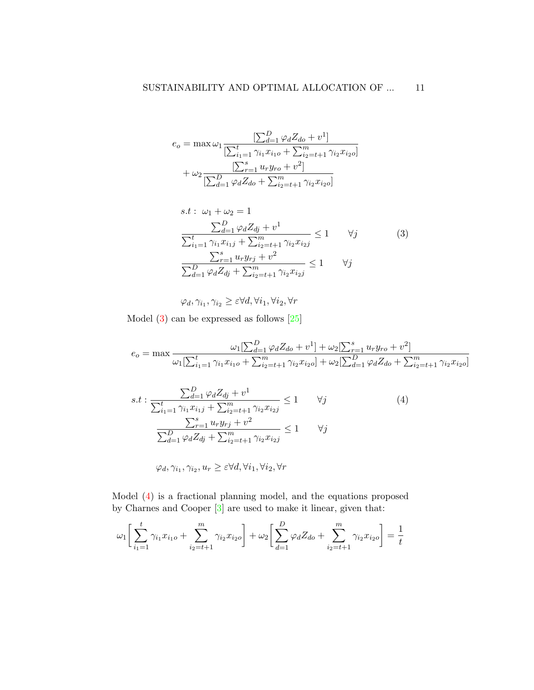$$
e_o = \max \omega_1 \frac{\left[\sum_{d=1}^D \varphi_d Z_{do} + v^1\right]}{\left[\sum_{i_1=1}^t \gamma_{i_1} x_{i_1o} + \sum_{i_2=t+1}^m \gamma_{i_2} x_{i_2o}\right]}
$$

$$
+ \omega_2 \frac{\left[\sum_{r=1}^s u_r y_{ro} + v^2\right]}{\left[\sum_{d=1}^D \varphi_d Z_{do} + \sum_{i_2=t+1}^m \gamma_{i_2} x_{i_2o}\right]}
$$

<span id="page-10-0"></span>
$$
s.t: \omega_1 + \omega_2 = 1
$$
  
\n
$$
\frac{\sum_{d=1}^{D} \varphi_d Z_{dj} + v^1}{\sum_{i_1=1}^{t} \gamma_{i_1} x_{i_1j} + \sum_{i_2=t+1}^{m} \gamma_{i_2} x_{i_2j}} \le 1 \quad \forall j
$$
  
\n
$$
\frac{\sum_{r=1}^{s} u_r y_{rj} + v^2}{\sum_{d=1}^{D} \varphi_d Z_{dj} + \sum_{i_2=t+1}^{m} \gamma_{i_2} x_{i_2j}} \le 1 \quad \forall j
$$
\n(3)

<span id="page-10-1"></span> $\varphi_d, \gamma_{i_1}, \gamma_{i_2} \geq \varepsilon \forall d, \forall i_1, \forall i_2, \forall r$ 

Model  $(3)$  can be expressed as follows  $[25]$ 

$$
e_o = \max \frac{\omega_1[\sum_{d=1}^D \varphi_d Z_{do} + v^1] + \omega_2[\sum_{r=1}^s u_r y_{ro} + v^2]}{\omega_1[\sum_{i_1=1}^t \gamma_{i_1} x_{i_1 o} + \sum_{i_2=t+1}^m \gamma_{i_2} x_{i_2 o}] + \omega_2[\sum_{d=1}^D \varphi_d Z_{do} + \sum_{i_2=t+1}^m \gamma_{i_2} x_{i_2 o}]}
$$

$$
s.t: \frac{\sum_{d=1}^{D} \varphi_d Z_{dj} + v^1}{\sum_{i_1=1}^t \gamma_{i_1} x_{i_1j} + \sum_{i_2=t+1}^m \gamma_{i_2} x_{i_2j}} \le 1 \qquad \forall j
$$
\n
$$
\frac{\sum_{r=1}^s u_r y_{rj} + v^2}{\sum_{d=1}^D \varphi_d Z_{dj} + \sum_{i_2=t+1}^m \gamma_{i_2} x_{i_2j}} \le 1 \qquad \forall j
$$
\n
$$
(4)
$$

$$
\varphi_d, \gamma_{i_1}, \gamma_{i_2}, u_r \geq \varepsilon \forall d, \forall i_1, \forall i_2, \forall r
$$

Model [\(4\)](#page-10-1) is a fractional planning model, and the equations proposed by Charnes and Cooper [\[3\]](#page-40-7) are used to make it linear, given that:

$$
\omega_1 \left[ \sum_{i_1=1}^t \gamma_{i_1} x_{i_1 o} + \sum_{i_2=t+1}^m \gamma_{i_2} x_{i_2 o} \right] + \omega_2 \left[ \sum_{d=1}^D \varphi_d Z_{d o} + \sum_{i_2=t+1}^m \gamma_{i_2} x_{i_2 o} \right] = \frac{1}{t}
$$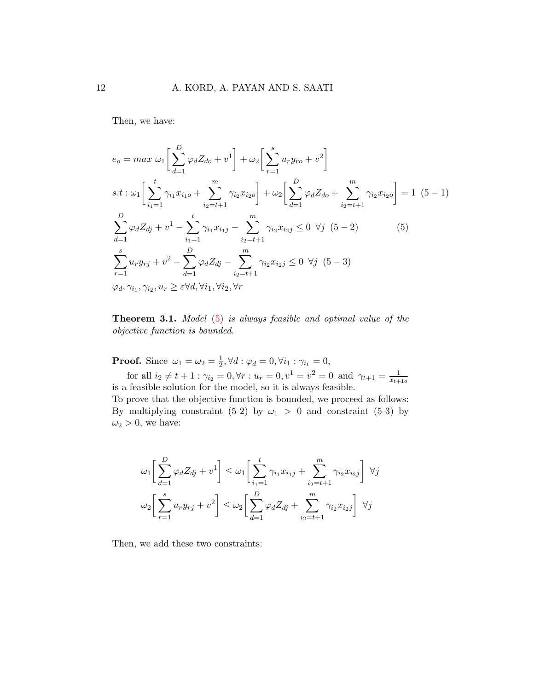Then, we have:

<span id="page-11-0"></span>
$$
e_{o} = max \omega_{1} \left[ \sum_{d=1}^{D} \varphi_{d} Z_{do} + v^{1} \right] + \omega_{2} \left[ \sum_{r=1}^{s} u_{r} y_{ro} + v^{2} \right]
$$
  
s.t:  $\omega_{1} \left[ \sum_{i_{1}=1}^{t} \gamma_{i_{1}} x_{i_{1}o} + \sum_{i_{2}=t+1}^{m} \gamma_{i_{2}} x_{i_{2}o} \right] + \omega_{2} \left[ \sum_{d=1}^{D} \varphi_{d} Z_{do} + \sum_{i_{2}=t+1}^{m} \gamma_{i_{2}} x_{i_{2}o} \right] = 1 (5-1)$   

$$
\sum_{d=1}^{D} \varphi_{d} Z_{dj} + v^{1} - \sum_{i_{1}=1}^{t} \gamma_{i_{1}} x_{i_{1}j} - \sum_{i_{2}=t+1}^{m} \gamma_{i_{2}} x_{i_{2}j} \leq 0 \ \forall j (5-2)
$$
  

$$
\sum_{r=1}^{s} u_{r} y_{rj} + v^{2} - \sum_{d=1}^{D} \varphi_{d} Z_{dj} - \sum_{i_{2}=t+1}^{m} \gamma_{i_{2}} x_{i_{2}j} \leq 0 \ \forall j (5-3)
$$
  

$$
\varphi_{d}, \gamma_{i_{1}}, \gamma_{i_{2}}, u_{r} \geq \varepsilon \forall d, \forall i_{1}, \forall i_{2}, \forall r
$$

Theorem 3.1. Model [\(5\)](#page-11-0) is always feasible and optimal value of the objective function is bounded.

**Proof.** Since  $\omega_1 = \omega_2 = \frac{1}{2}$  $\frac{1}{2}$ ,  $\forall d : \varphi_d = 0$ ,  $\forall i_1 : \gamma_{i_1} = 0$ ,

for all  $i_2 \neq t + 1$ :  $\gamma_{i_2} = 0, \forall r : u_r = 0, v^1 = v^2 = 0$  and  $\gamma_{t+1} = \frac{1}{x_{t+1}}$  $\overline{x_{t+1o}}$ is a feasible solution for the model, so it is always feasible.

To prove that the objective function is bounded, we proceed as follows: By multiplying constraint (5-2) by  $\omega_1 > 0$  and constraint (5-3) by  $\omega_2 > 0$ , we have:

$$
\omega_1 \left[ \sum_{d=1}^D \varphi_d Z_{dj} + v^1 \right] \leq \omega_1 \left[ \sum_{i_1=1}^t \gamma_{i_1} x_{i_1j} + \sum_{i_2=t+1}^m \gamma_{i_2} x_{i_2j} \right] \ \forall j
$$

$$
\omega_2 \left[ \sum_{r=1}^s u_r y_{rj} + v^2 \right] \leq \omega_2 \left[ \sum_{d=1}^D \varphi_d Z_{dj} + \sum_{i_2=t+1}^m \gamma_{i_2} x_{i_2j} \right] \ \forall j
$$

Then, we add these two constraints: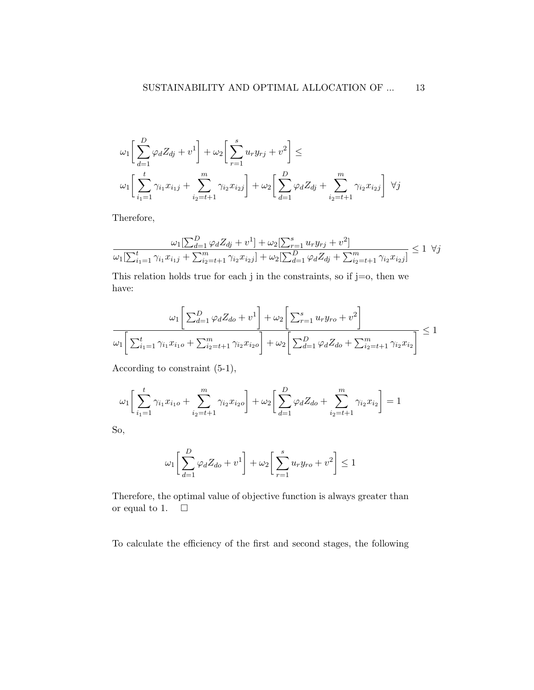$$
\omega_1 \left[ \sum_{d=1}^D \varphi_d Z_{dj} + v^1 \right] + \omega_2 \left[ \sum_{r=1}^s u_r y_{rj} + v^2 \right] \le
$$
  

$$
\omega_1 \left[ \sum_{i_1=1}^t \gamma_{i_1} x_{i_1 j} + \sum_{i_2=t+1}^m \gamma_{i_2} x_{i_2 j} \right] + \omega_2 \left[ \sum_{d=1}^D \varphi_d Z_{dj} + \sum_{i_2=t+1}^m \gamma_{i_2} x_{i_2 j} \right] \ \forall j
$$

Therefore,

$$
\frac{\omega_1[\sum_{d=1}^D \varphi_d Z_{dj} + v^1] + \omega_2[\sum_{r=1}^s u_r y_{rj} + v^2]}{\omega_1[\sum_{i_1=1}^t \gamma_{i_1} x_{i_1j} + \sum_{i_2=t+1}^m \gamma_{i_2} x_{i_2j}] + \omega_2[\sum_{d=1}^D \varphi_d Z_{dj} + \sum_{i_2=t+1}^m \gamma_{i_2} x_{i_2j}]} \le 1 \ \ \forall j
$$

This relation holds true for each  $j$  in the constraints, so if  $j=0$ , then we have:

$$
\omega_1 \left[ \sum_{d=1}^D \varphi_d Z_{do} + v^1 \right] + \omega_2 \left[ \sum_{r=1}^S u_r y_{ro} + v^2 \right]
$$
  

$$
\omega_1 \left[ \sum_{i_1=1}^t \gamma_{i_1} x_{i_1 o} + \sum_{i_2=t+1}^m \gamma_{i_2} x_{i_2 o} \right] + \omega_2 \left[ \sum_{d=1}^D \varphi_d Z_{do} + \sum_{i_2=t+1}^m \gamma_{i_2} x_{i_2} \right] \le 1
$$

According to constraint (5-1),

$$
\omega_1 \left[ \sum_{i_1=1}^t \gamma_{i_1} x_{i_1} + \sum_{i_2=t+1}^m \gamma_{i_2} x_{i_2} \right] + \omega_2 \left[ \sum_{d=1}^D \varphi_d Z_{d0} + \sum_{i_2=t+1}^m \gamma_{i_2} x_{i_2} \right] = 1
$$

So,

$$
\omega_1 \left[ \sum_{d=1}^D \varphi_d Z_{do} + v^1 \right] + \omega_2 \left[ \sum_{r=1}^s u_r y_{ro} + v^2 \right] \le 1
$$

Therefore, the optimal value of objective function is always greater than or equal to 1.  $\Box$ 

To calculate the efficiency of the first and second stages, the following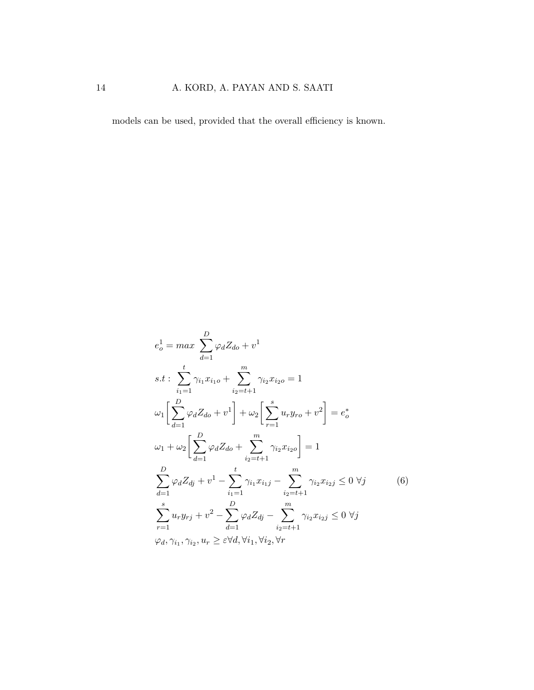## 14 A. KORD, A. PAYAN AND S. SAATI

models can be used, provided that the overall efficiency is known.

<span id="page-13-0"></span>
$$
e_o^1 = max \sum_{d=1}^{D} \varphi_d Z_{do} + v^1
$$
  
\n
$$
s.t: \sum_{i_1=1}^{t} \gamma_{i_1} x_{i_1 o} + \sum_{i_2=t+1}^{m} \gamma_{i_2} x_{i_2 o} = 1
$$
  
\n
$$
\omega_1 \left[ \sum_{d=1}^{D} \varphi_d Z_{do} + v^1 \right] + \omega_2 \left[ \sum_{r=1}^{s} u_r y_{ro} + v^2 \right] = e_o^*
$$
  
\n
$$
\omega_1 + \omega_2 \left[ \sum_{d=1}^{D} \varphi_d Z_{do} + \sum_{i_2=t+1}^{m} \gamma_{i_2} x_{i_2 o} \right] = 1
$$
  
\n
$$
\sum_{d=1}^{D} \varphi_d Z_{dj} + v^1 - \sum_{i_1=1}^{t} \gamma_{i_1} x_{i_1 j} - \sum_{i_2=t+1}^{m} \gamma_{i_2} x_{i_2 j} \leq 0 \ \forall j
$$
  
\n
$$
\sum_{r=1}^{s} u_r y_{rj} + v^2 - \sum_{d=1}^{D} \varphi_d Z_{dj} - \sum_{i_2=t+1}^{m} \gamma_{i_2} x_{i_2 j} \leq 0 \ \forall j
$$
  
\n
$$
\varphi_d, \gamma_{i_1}, \gamma_{i_2}, u_r \geq \varepsilon \forall d, \forall i_1, \forall i_2, \forall r
$$
 (6)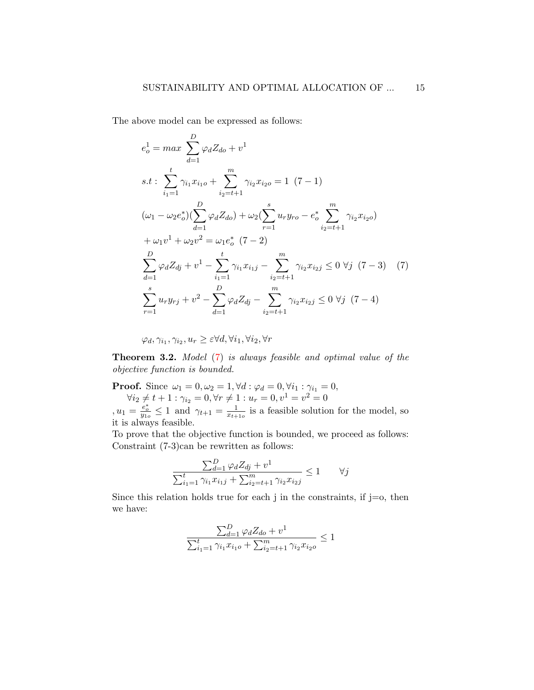The above model can be expressed as follows:

$$
e_o^1 = \max \sum_{d=1}^D \varphi_d Z_{do} + v^1
$$
  
\n
$$
s.t: \sum_{i_1=1}^t \gamma_{i_1} x_{i_1o} + \sum_{i_2=t+1}^m \gamma_{i_2} x_{i_2o} = 1 (7-1)
$$
  
\n
$$
(\omega_1 - \omega_2 e_o^*) \left( \sum_{d=1}^D \varphi_d Z_{do} \right) + \omega_2 \left( \sum_{r=1}^s u_r y_{ro} - e_o^* \sum_{i_2=t+1}^m \gamma_{i_2} x_{i_2o} \right)
$$
  
\n
$$
+ \omega_1 v^1 + \omega_2 v^2 = \omega_1 e_o^* (7-2)
$$
  
\n
$$
\sum_{d=1}^D \varphi_d Z_{dj} + v^1 - \sum_{i_1=1}^t \gamma_{i_1} x_{i_1j} - \sum_{i_2=t+1}^m \gamma_{i_2} x_{i_2j} \leq 0 \ \forall j (7-3) (7)
$$
  
\n
$$
\sum_{r=1}^s u_r y_{rj} + v^2 - \sum_{d=1}^D \varphi_d Z_{dj} - \sum_{i_2=t+1}^m \gamma_{i_2} x_{i_2j} \leq 0 \ \forall j (7-4)
$$

<span id="page-14-0"></span>
$$
\varphi_d, \gamma_{i_1}, \gamma_{i_2}, u_r \geq \varepsilon \forall d, \forall i_1, \forall i_2, \forall r
$$

Theorem 3.2. Model [\(7\)](#page-14-0) is always feasible and optimal value of the objective function is bounded.

**Proof.** Since  $\omega_1 = 0, \omega_2 = 1, \forall d : \varphi_d = 0, \forall i_1 : \gamma_{i_1} = 0,$  $\forall i_2 \neq t + 1 : \gamma_{i_2} = 0, \forall r \neq 1 : u_r = 0, v^1 = v^2 = 0$  $, u_1 = \frac{e_o^*}{y_{1o}} \leq 1$  and  $\gamma_{t+1} = \frac{1}{x_{t+1}}$  $\frac{1}{x_{t+1o}}$  is a feasible solution for the model, so it is always feasible.

To prove that the objective function is bounded, we proceed as follows: Constraint (7-3)can be rewritten as follows:

$$
\frac{\sum_{d=1}^{D} \varphi_d Z_{dj} + v^1}{\sum_{i_1=1}^{t} \gamma_{i_1} x_{i_1j} + \sum_{i_2=t+1}^{m} \gamma_{i_2} x_{i_2j}} \le 1 \qquad \forall j
$$

Since this relation holds true for each j in the constraints, if  $j=0$ , then we have:

$$
\frac{\sum_{d=1}^{D} \varphi_d Z_{do} + v^1}{\sum_{i_1=1}^{t} \gamma_{i_1} x_{i_1 o} + \sum_{i_2=t+1}^{m} \gamma_{i_2} x_{i_2 o}} \le 1
$$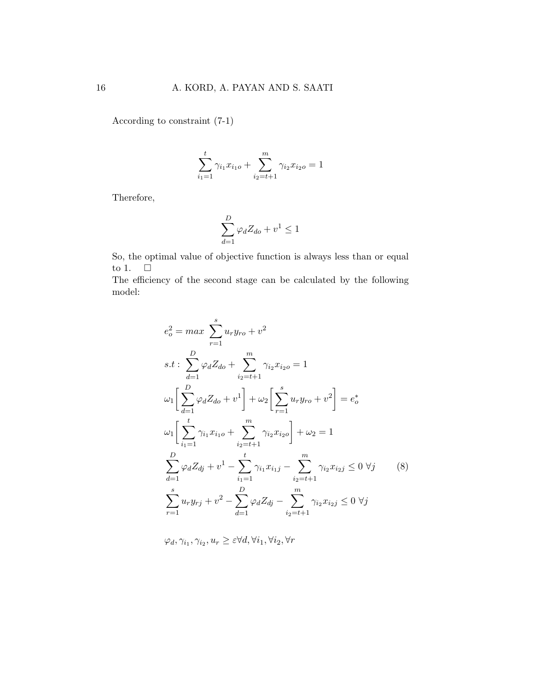According to constraint (7-1)

$$
\sum_{i_1=1}^t \gamma_{i_1} x_{i_1} + \sum_{i_2=t+1}^m \gamma_{i_2} x_{i_2} = 1
$$

Therefore,

$$
\sum_{d=1}^{D} \varphi_d Z_{do} + v^1 \le 1
$$

So, the optimal value of objective function is always less than or equal to 1.  $\quad \Box$ 

The efficiency of the second stage can be calculated by the following model:

$$
e_o^2 = max \sum_{r=1}^{s} u_r y_{ro} + v^2
$$
  
s.t: 
$$
\sum_{d=1}^{D} \varphi_d Z_{do} + \sum_{i_2=t+1}^{m} \gamma_{i_2} x_{i_2 o} = 1
$$

$$
\omega_1 \left[ \sum_{d=1}^{D} \varphi_d Z_{do} + v^1 \right] + \omega_2 \left[ \sum_{r=1}^{s} u_r y_{ro} + v^2 \right] = e_o^*
$$

$$
\omega_1 \left[ \sum_{i_1=1}^{t} \gamma_{i_1} x_{i_1 o} + \sum_{i_2=t+1}^{m} \gamma_{i_2} x_{i_2 o} \right] + \omega_2 = 1
$$

$$
\sum_{d=1}^{D} \varphi_d Z_{dj} + v^1 - \sum_{i_1=1}^{t} \gamma_{i_1} x_{i_1 j} - \sum_{i_2=t+1}^{m} \gamma_{i_2} x_{i_2 j} \leq 0 \ \forall j \tag{8}
$$

$$
\sum_{r=1}^{s} u_r y_{rj} + v^2 - \sum_{d=1}^{D} \varphi_d Z_{dj} - \sum_{i_2=t+1}^{m} \gamma_{i_2} x_{i_2 j} \leq 0 \ \forall j
$$

<span id="page-15-0"></span> $\varphi_d, \gamma_{i_1}, \gamma_{i_2}, u_r \geq \varepsilon \forall d, \forall i_1, \forall i_2, \forall r$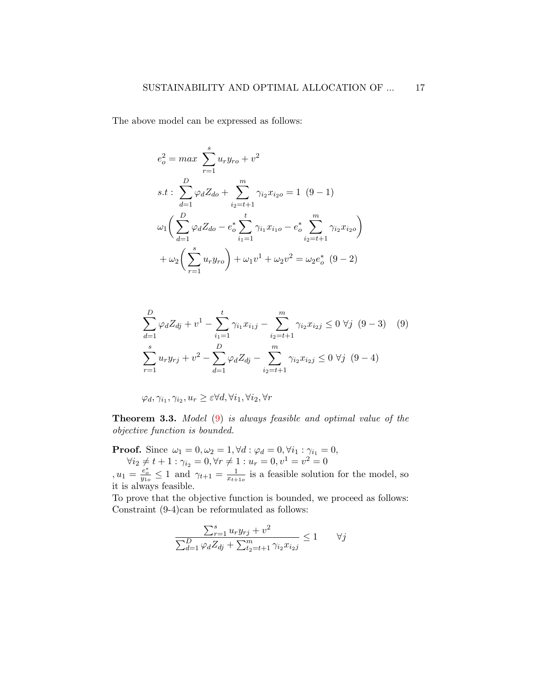The above model can be expressed as follows:

$$
e_o^2 = max \sum_{r=1}^s u_r y_{ro} + v^2
$$
  
s.t: 
$$
\sum_{d=1}^D \varphi_d Z_{do} + \sum_{i_2=t+1}^m \gamma_{i_2} x_{i_2 o} = 1 (9-1)
$$

$$
\omega_1 \left( \sum_{d=1}^D \varphi_d Z_{do} - e_o^* \sum_{i_1=1}^t \gamma_{i_1} x_{i_1 o} - e_o^* \sum_{i_2=t+1}^m \gamma_{i_2} x_{i_2 o} \right)
$$

$$
+ \omega_2 \left( \sum_{r=1}^s u_r y_{ro} \right) + \omega_1 v^1 + \omega_2 v^2 = \omega_2 e_o^* (9-2)
$$

<span id="page-16-0"></span>
$$
\sum_{d=1}^{D} \varphi_d Z_{dj} + v^1 - \sum_{i_1=1}^{t} \gamma_{i_1} x_{i_1 j} - \sum_{i_2=t+1}^{m} \gamma_{i_2} x_{i_2 j} \le 0 \ \forall j \ (9-3) \quad (9)
$$
  

$$
\sum_{r=1}^{s} u_r y_{rj} + v^2 - \sum_{d=1}^{D} \varphi_d Z_{dj} - \sum_{i_2=t+1}^{m} \gamma_{i_2} x_{i_2 j} \le 0 \ \forall j \ (9-4)
$$

$$
\varphi_d, \gamma_{i_1}, \gamma_{i_2}, u_r \geq \varepsilon \forall d, \forall i_1, \forall i_2, \forall r
$$

Theorem 3.3. Model [\(9\)](#page-16-0) is always feasible and optimal value of the objective function is bounded.

**Proof.** Since  $\omega_1 = 0, \omega_2 = 1, \forall d : \varphi_d = 0, \forall i_1 : \gamma_{i_1} = 0,$  $\forall i_2 \neq t + 1 : \gamma_{i_2} = 0, \forall r \neq 1 : u_r = 0, v^1 = v^2 = 0$ 

 $, u_1 = \frac{e_o^*}{y_{1o}} \leq 1$  and  $\gamma_{t+1} = \frac{1}{x_{t+1}}$  $\frac{1}{x_{t+1o}}$  is a feasible solution for the model, so it is always feasible.

To prove that the objective function is bounded, we proceed as follows: Constraint (9-4)can be reformulated as follows:

$$
\frac{\sum_{r=1}^{s} u_r y_{rj} + v^2}{\sum_{d=1}^{D} \varphi_d Z_{dj} + \sum_{t=1}^{m} \gamma_{i2} x_{i2j}} \le 1 \qquad \forall j
$$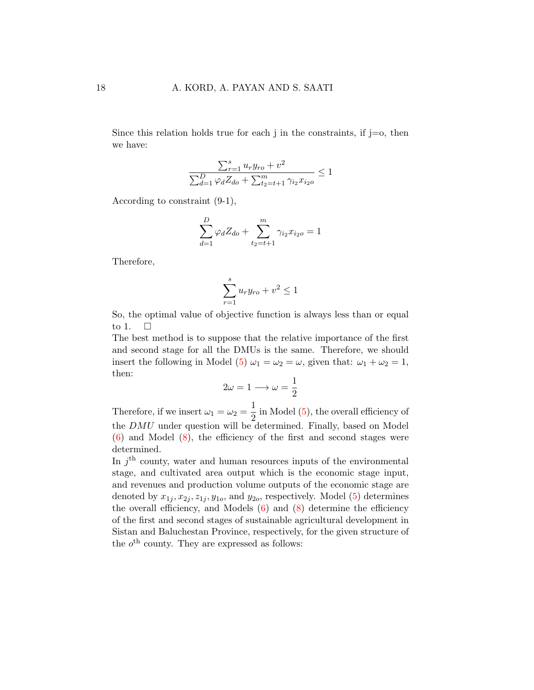Since this relation holds true for each j in the constraints, if  $j=0$ , then we have:

$$
\frac{\sum_{r=1}^{s} u_r y_{ro} + v^2}{\sum_{d=1}^{D} \varphi_d Z_{do} + \sum_{t_2=t+1}^{m} \gamma_{i_2} x_{i_2 o}} \le 1
$$

According to constraint (9-1),

$$
\sum_{d=1}^{D} \varphi_d Z_{do} + \sum_{t_2=t+1}^{m} \gamma_{i_2} x_{i_2 o} = 1
$$

Therefore,

$$
\sum_{r=1}^{s} u_r y_{ro} + v^2 \le 1
$$

So, the optimal value of objective function is always less than or equal to 1.  $\square$ 

The best method is to suppose that the relative importance of the first and second stage for all the DMUs is the same. Therefore, we should insert the following in Model [\(5\)](#page-11-0)  $\omega_1 = \omega_2 = \omega$ , given that:  $\omega_1 + \omega_2 = 1$ , then:

$$
2\omega = 1 \longrightarrow \omega = \frac{1}{2}
$$

Therefore, if we insert  $\omega_1 = \omega_2 = \frac{1}{2}$  $\frac{1}{2}$  in Model [\(5\)](#page-11-0), the overall efficiency of the  $DMU$  under question will be determined. Finally, based on Model  $(6)$  and Model  $(8)$ , the efficiency of the first and second stages were determined.

In  $j<sup>th</sup>$  county, water and human resources inputs of the environmental stage, and cultivated area output which is the economic stage input, and revenues and production volume outputs of the economic stage are denoted by  $x_{1j}, x_{2j}, z_{1j}, y_{1o}$ , and  $y_{2o}$ , respectively. Model [\(5\)](#page-11-0) determines the overall efficiency, and Models  $(6)$  and  $(8)$  determine the efficiency of the first and second stages of sustainable agricultural development in Sistan and Baluchestan Province, respectively, for the given structure of the  $o<sup>th</sup>$  county. They are expressed as follows: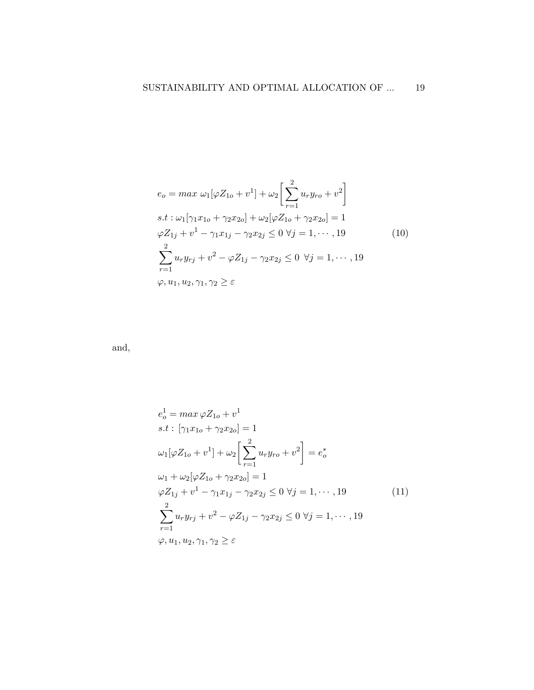<span id="page-18-1"></span>
$$
e_0 = \max \omega_1 [\varphi Z_{1o} + v^1] + \omega_2 \left[ \sum_{r=1}^2 u_r y_{r0} + v^2 \right]
$$
  
s.t:  $\omega_1 [\gamma_1 x_{1o} + \gamma_2 x_{2o}] + \omega_2 [\varphi Z_{1o} + \gamma_2 x_{2o}] = 1$   
 $\varphi Z_{1j} + v^1 - \gamma_1 x_{1j} - \gamma_2 x_{2j} \le 0 \ \forall j = 1, \dots, 19$   

$$
\sum_{r=1}^2 u_r y_{rj} + v^2 - \varphi Z_{1j} - \gamma_2 x_{2j} \le 0 \ \forall j = 1, \dots, 19
$$
  
 $\varphi, u_1, u_2, \gamma_1, \gamma_2 \ge \varepsilon$  (10)

and,

<span id="page-18-0"></span>
$$
e_o^1 = \max \varphi Z_{1o} + v^1
$$
  
s.t:  $[\gamma_1 x_{1o} + \gamma_2 x_{2o}] = 1$   

$$
\omega_1 [\varphi Z_{1o} + v^1] + \omega_2 \left[ \sum_{r=1}^2 u_r y_{r o} + v^2 \right] = e_o^*
$$
  

$$
\omega_1 + \omega_2 [\varphi Z_{1o} + \gamma_2 x_{2o}] = 1
$$
  

$$
\varphi Z_{1j} + v^1 - \gamma_1 x_{1j} - \gamma_2 x_{2j} \le 0 \ \forall j = 1, \dots, 19
$$
  

$$
\sum_{r=1}^2 u_r y_{rj} + v^2 - \varphi Z_{1j} - \gamma_2 x_{2j} \le 0 \ \forall j = 1, \dots, 19
$$
  

$$
\varphi, u_1, u_2, \gamma_1, \gamma_2 \ge \varepsilon
$$
 (11)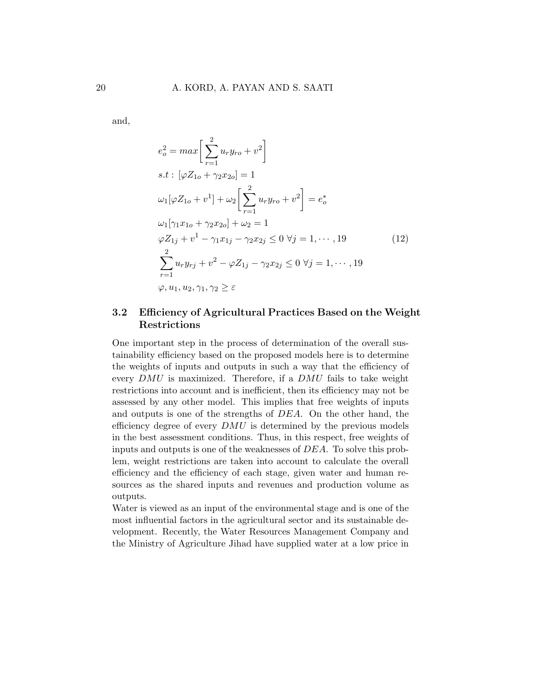and,

<span id="page-19-0"></span>
$$
e_o^2 = max \left[ \sum_{r=1}^2 u_r y_{ro} + v^2 \right]
$$
  
s.t:  $[\varphi Z_{1o} + \gamma_2 x_{2o}] = 1$   

$$
\omega_1 [\varphi Z_{1o} + v^1] + \omega_2 \left[ \sum_{r=1}^2 u_r y_{ro} + v^2 \right] = e_o^*
$$
  

$$
\omega_1 [\gamma_1 x_{1o} + \gamma_2 x_{2o}] + \omega_2 = 1
$$
  

$$
\varphi Z_{1j} + v^1 - \gamma_1 x_{1j} - \gamma_2 x_{2j} \le 0 \ \forall j = 1, \dots, 19
$$
  

$$
\sum_{r=1}^2 u_r y_{rj} + v^2 - \varphi Z_{1j} - \gamma_2 x_{2j} \le 0 \ \forall j = 1, \dots, 19
$$
  

$$
\varphi, u_1, u_2, \gamma_1, \gamma_2 \ge \varepsilon
$$
 (12)

### 3.2 Efficiency of Agricultural Practices Based on the Weight Restrictions

One important step in the process of determination of the overall sustainability efficiency based on the proposed models here is to determine the weights of inputs and outputs in such a way that the efficiency of every  $DMU$  is maximized. Therefore, if a  $DMU$  fails to take weight restrictions into account and is inefficient, then its efficiency may not be assessed by any other model. This implies that free weights of inputs and outputs is one of the strengths of DEA. On the other hand, the efficiency degree of every  $DMU$  is determined by the previous models in the best assessment conditions. Thus, in this respect, free weights of inputs and outputs is one of the weaknesses of DEA. To solve this problem, weight restrictions are taken into account to calculate the overall efficiency and the efficiency of each stage, given water and human resources as the shared inputs and revenues and production volume as outputs.

Water is viewed as an input of the environmental stage and is one of the most influential factors in the agricultural sector and its sustainable development. Recently, the Water Resources Management Company and the Ministry of Agriculture Jihad have supplied water at a low price in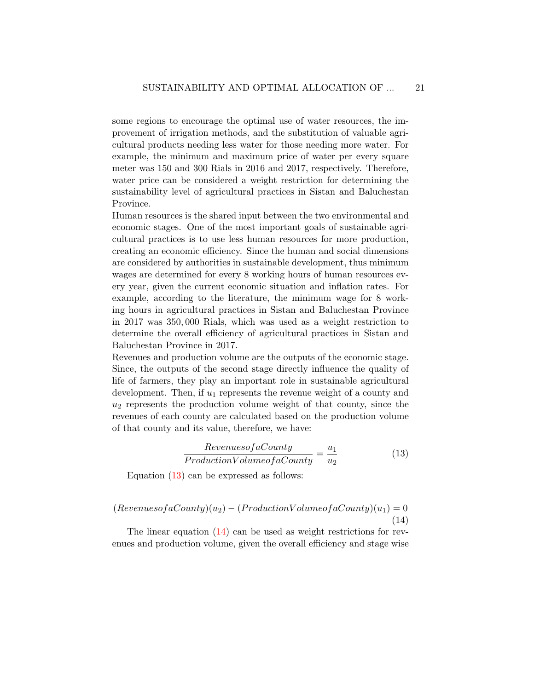some regions to encourage the optimal use of water resources, the improvement of irrigation methods, and the substitution of valuable agricultural products needing less water for those needing more water. For example, the minimum and maximum price of water per every square meter was 150 and 300 Rials in 2016 and 2017, respectively. Therefore, water price can be considered a weight restriction for determining the sustainability level of agricultural practices in Sistan and Baluchestan Province.

Human resources is the shared input between the two environmental and economic stages. One of the most important goals of sustainable agricultural practices is to use less human resources for more production, creating an economic efficiency. Since the human and social dimensions are considered by authorities in sustainable development, thus minimum wages are determined for every 8 working hours of human resources every year, given the current economic situation and inflation rates. For example, according to the literature, the minimum wage for 8 working hours in agricultural practices in Sistan and Baluchestan Province in 2017 was 350, 000 Rials, which was used as a weight restriction to determine the overall efficiency of agricultural practices in Sistan and Baluchestan Province in 2017.

Revenues and production volume are the outputs of the economic stage. Since, the outputs of the second stage directly influence the quality of life of farmers, they play an important role in sustainable agricultural development. Then, if  $u_1$  represents the revenue weight of a county and  $u_2$  represents the production volume weight of that county, since the revenues of each county are calculated based on the production volume of that county and its value, therefore, we have:

<span id="page-20-0"></span>
$$
\frac{Revenues of a County}{Production Volume of a County} = \frac{u_1}{u_2}
$$
\n(13)

Equation  $(13)$  can be expressed as follows:

<span id="page-20-1"></span>
$$
(Revenues of a County)(u2) - (ProductionVolume of a County)(u1) = 0
$$
\n(14)

The linear equation  $(14)$  can be used as weight restrictions for revenues and production volume, given the overall efficiency and stage wise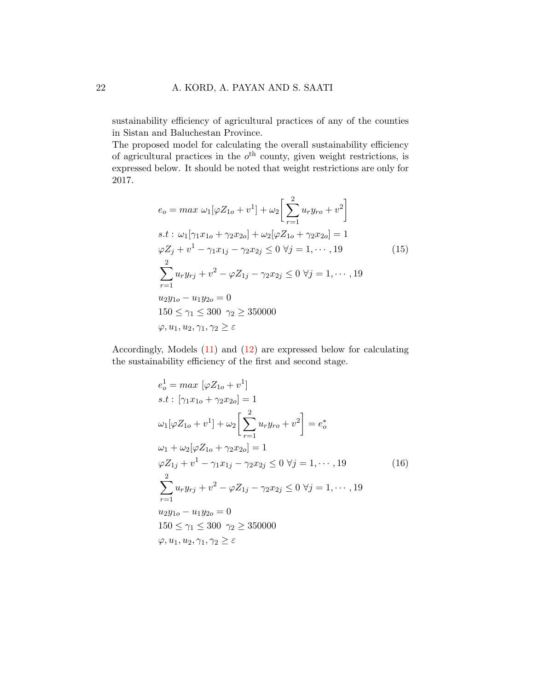sustainability efficiency of agricultural practices of any of the counties in Sistan and Baluchestan Province.

The proposed model for calculating the overall sustainability efficiency of agricultural practices in the  $o<sup>th</sup>$  county, given weight restrictions, is expressed below. It should be noted that weight restrictions are only for 2017.

<span id="page-21-0"></span>
$$
e_o = \max \omega_1 [\varphi Z_{1o} + v^1] + \omega_2 \left[ \sum_{r=1}^2 u_r y_{ro} + v^2 \right]
$$
  
s.t:  $\omega_1 [\gamma_1 x_{1o} + \gamma_2 x_{2o}] + \omega_2 [\varphi Z_{1o} + \gamma_2 x_{2o}] = 1$   
 $\varphi Z_j + v^1 - \gamma_1 x_{1j} - \gamma_2 x_{2j} \le 0 \ \forall j = 1, \dots, 19$   
 $\sum_{r=1}^2 u_r y_{rj} + v^2 - \varphi Z_{1j} - \gamma_2 x_{2j} \le 0 \ \forall j = 1, \dots, 19$   
 $u_2 y_{1o} - u_1 y_{2o} = 0$   
 $150 \le \gamma_1 \le 300 \ \gamma_2 \ge 350000$   
 $\varphi, u_1, u_2, \gamma_1, \gamma_2 \ge \varepsilon$  (11)

Accordingly, Models [\(11\)](#page-18-0) and [\(12\)](#page-19-0) are expressed below for calculating the sustainability efficiency of the first and second stage.

<span id="page-21-1"></span>
$$
e_o^1 = \max [\varphi Z_{1o} + v^1]
$$
  
s.t:  $[\gamma_1 x_{1o} + \gamma_2 x_{2o}] = 1$   

$$
\omega_1 [\varphi Z_{1o} + v^1] + \omega_2 \left[ \sum_{r=1}^2 u_r y_{r o} + v^2 \right] = e_o^*
$$
  

$$
\omega_1 + \omega_2 [\varphi Z_{1o} + \gamma_2 x_{2o}] = 1
$$
  

$$
\varphi Z_{1j} + v^1 - \gamma_1 x_{1j} - \gamma_2 x_{2j} \le 0 \ \forall j = 1, \dots, 19
$$
  

$$
\sum_{r=1}^2 u_r y_{rj} + v^2 - \varphi Z_{1j} - \gamma_2 x_{2j} \le 0 \ \forall j = 1, \dots, 19
$$
  

$$
u_2 y_{1o} - u_1 y_{2o} = 0
$$
  

$$
150 \le \gamma_1 \le 300 \ \gamma_2 \ge 350000
$$
  

$$
\varphi, u_1, u_2, \gamma_1, \gamma_2 \ge \varepsilon
$$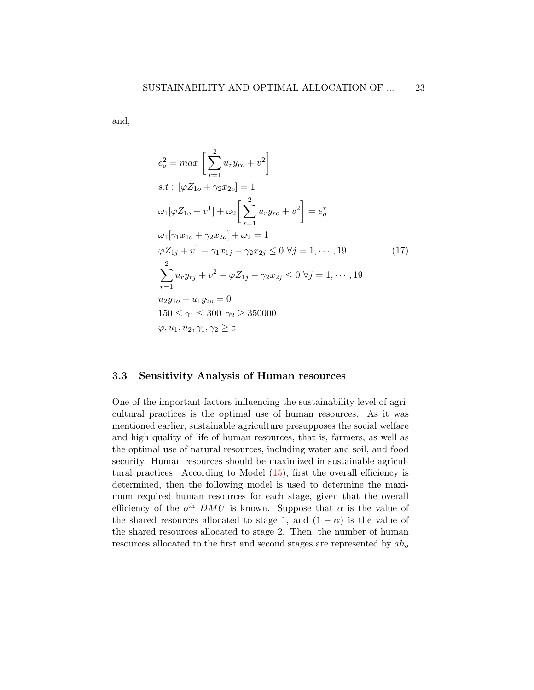and,

<span id="page-22-0"></span>
$$
e_o^2 = max \left[ \sum_{r=1}^2 u_r y_{ro} + v^2 \right]
$$
  
s.t:  $[\varphi Z_{1o} + \gamma_2 x_{2o}] = 1$   

$$
\omega_1 [\varphi Z_{1o} + v^1] + \omega_2 \left[ \sum_{r=1}^2 u_r y_{ro} + v^2 \right] = e_o^*
$$
  

$$
\omega_1 [\gamma_1 x_{1o} + \gamma_2 x_{2o}] + \omega_2 = 1
$$
  

$$
\varphi Z_{1j} + v^1 - \gamma_1 x_{1j} - \gamma_2 x_{2j} \leq 0 \ \forall j = 1, \dots, 19
$$
  

$$
\sum_{r=1}^2 u_r y_{rj} + v^2 - \varphi Z_{1j} - \gamma_2 x_{2j} \leq 0 \ \forall j = 1, \dots, 19
$$
  

$$
u_2 y_{1o} - u_1 y_{2o} = 0
$$
  

$$
150 \leq \gamma_1 \leq 300 \ \gamma_2 \geq 350000
$$
  

$$
\varphi, u_1, u_2, \gamma_1, \gamma_2 \geq \varepsilon
$$
 (11)

#### 3.3 Sensitivity Analysis of Human resources

One of the important factors influencing the sustainability level of agricultural practices is the optimal use of human resources. As it was mentioned earlier, sustainable agriculture presupposes the social welfare and high quality of life of human resources, that is, farmers, as well as the optimal use of natural resources, including water and soil, and food security. Human resources should be maximized in sustainable agricultural practices. According to Model  $(15)$ , first the overall efficiency is determined, then the following model is used to determine the maximum required human resources for each stage, given that the overall efficiency of the  $o^{th}$  DMU is known. Suppose that  $\alpha$  is the value of the shared resources allocated to stage 1, and  $(1 - \alpha)$  is the value of the shared resources allocated to stage 2. Then, the number of human resources allocated to the first and second stages are represented by  $ah_o$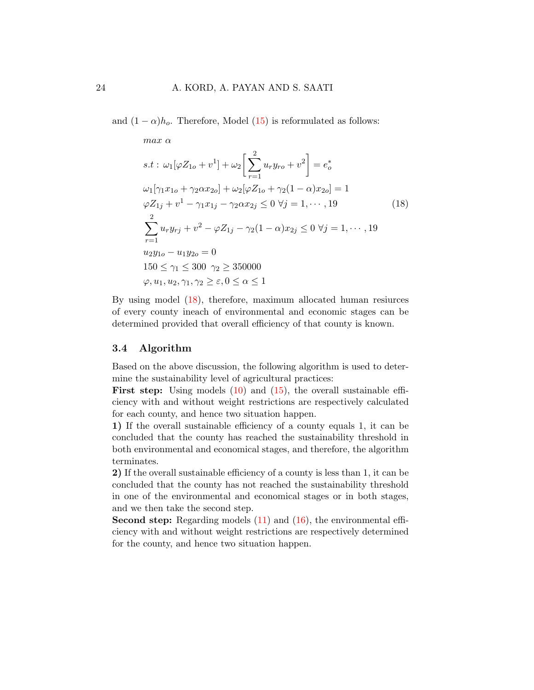and  $(1 - \alpha)h_o$ . Therefore, Model [\(15\)](#page-21-0) is reformulated as follows:

<span id="page-23-0"></span>
$$
\max \alpha
$$
\n
$$
s.t: \omega_1[\varphi Z_{1o} + v^1] + \omega_2 \left[ \sum_{r=1}^2 u_r y_{r o} + v^2 \right] = e_o^*
$$
\n
$$
\omega_1[\gamma_1 x_{1o} + \gamma_2 \alpha x_{2o}] + \omega_2[\varphi Z_{1o} + \gamma_2 (1 - \alpha) x_{2o}] = 1
$$
\n
$$
\varphi Z_{1j} + v^1 - \gamma_1 x_{1j} - \gamma_2 \alpha x_{2j} \le 0 \ \forall j = 1, \dots, 19
$$
\n
$$
\sum_{r=1}^2 u_r y_{r j} + v^2 - \varphi Z_{1j} - \gamma_2 (1 - \alpha) x_{2j} \le 0 \ \forall j = 1, \dots, 19
$$
\n
$$
u_2 y_{1o} - u_1 y_{2o} = 0
$$
\n
$$
150 \le \gamma_1 \le 300 \ \gamma_2 \ge 350000
$$
\n
$$
\varphi, u_1, u_2, \gamma_1, \gamma_2 \ge \varepsilon, 0 \le \alpha \le 1
$$
\n
$$
(18)
$$

By using model [\(18\)](#page-23-0), therefore, maximum allocated human resiurces of every county ineach of environmental and economic stages can be determined provided that overall efficiency of that county is known.

#### 3.4 Algorithm

Based on the above discussion, the following algorithm is used to determine the sustainability level of agricultural practices:

**First step:** Using models  $(10)$  and  $(15)$ , the overall sustainable efficiency with and without weight restrictions are respectively calculated for each county, and hence two situation happen.

1) If the overall sustainable efficiency of a county equals 1, it can be concluded that the county has reached the sustainability threshold in both environmental and economical stages, and therefore, the algorithm terminates.

2) If the overall sustainable efficiency of a county is less than 1, it can be concluded that the county has not reached the sustainability threshold in one of the environmental and economical stages or in both stages, and we then take the second step.

Second step: Regarding models [\(11\)](#page-18-0) and [\(16\)](#page-21-1), the environmental efficiency with and without weight restrictions are respectively determined for the county, and hence two situation happen.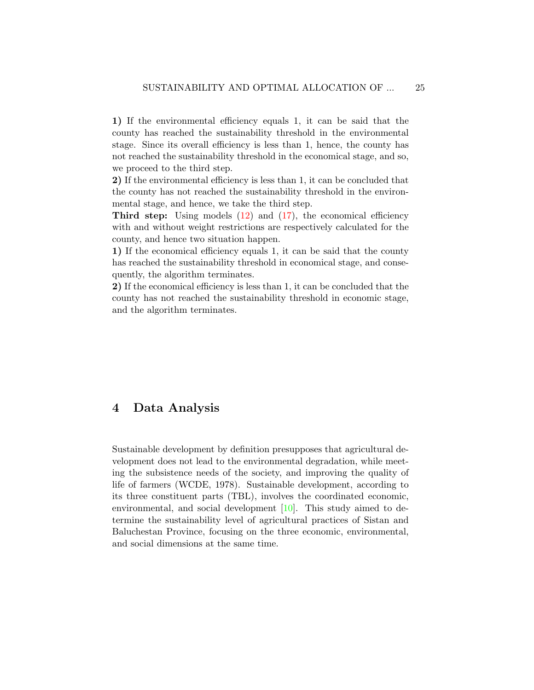1) If the environmental efficiency equals 1, it can be said that the county has reached the sustainability threshold in the environmental stage. Since its overall efficiency is less than 1, hence, the county has not reached the sustainability threshold in the economical stage, and so, we proceed to the third step.

2) If the environmental efficiency is less than 1, it can be concluded that the county has not reached the sustainability threshold in the environmental stage, and hence, we take the third step.

**Third step:** Using models  $(12)$  and  $(17)$ , the economical efficiency with and without weight restrictions are respectively calculated for the county, and hence two situation happen.

1) If the economical efficiency equals 1, it can be said that the county has reached the sustainability threshold in economical stage, and consequently, the algorithm terminates.

2) If the economical efficiency is less than 1, it can be concluded that the county has not reached the sustainability threshold in economic stage, and the algorithm terminates.

### <span id="page-24-0"></span>4 Data Analysis

Sustainable development by definition presupposes that agricultural development does not lead to the environmental degradation, while meeting the subsistence needs of the society, and improving the quality of life of farmers (WCDE, 1978). Sustainable development, according to its three constituent parts (TBL), involves the coordinated economic, environmental, and social development [\[10\]](#page-41-8). This study aimed to determine the sustainability level of agricultural practices of Sistan and Baluchestan Province, focusing on the three economic, environmental, and social dimensions at the same time.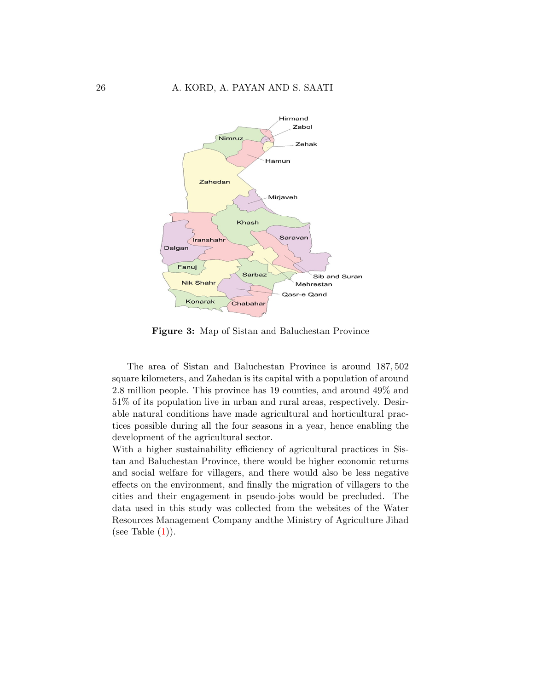

Figure 3: Map of Sistan and Baluchestan Province

The area of Sistan and Baluchestan Province is around 187, 502 square kilometers, and Zahedan is its capital with a population of around 2.8 million people. This province has 19 counties, and around 49% and 51% of its population live in urban and rural areas, respectively. Desirable natural conditions have made agricultural and horticultural practices possible during all the four seasons in a year, hence enabling the development of the agricultural sector.

With a higher sustainability efficiency of agricultural practices in Sistan and Baluchestan Province, there would be higher economic returns and social welfare for villagers, and there would also be less negative effects on the environment, and finally the migration of villagers to the cities and their engagement in pseudo-jobs would be precluded. The data used in this study was collected from the websites of the Water Resources Management Company andthe Ministry of Agriculture Jihad (see Table  $(1)$ ).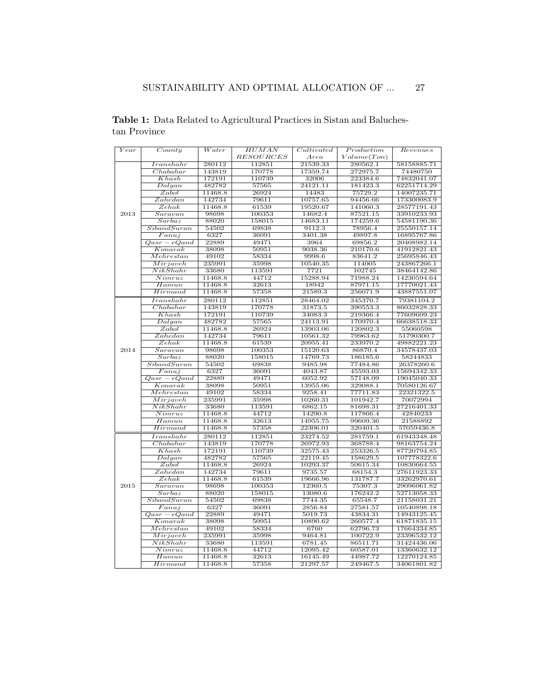| $\overline{Year}$ | $\overline{Country}$      | $\overline{Water}$ | HUMAN            | Cultivated          | Production  | $\overline{Re}$ venues |
|-------------------|---------------------------|--------------------|------------------|---------------------|-------------|------------------------|
|                   |                           |                    | <b>RESOURCES</b> | Area                | Volume(Ton) |                        |
|                   | $_{Transhahr}$            | 280112             | 112851           | 21539.33            | 280562.1    | 58158885.71            |
|                   | Chabahar                  | 143819             | 170778           | 17359.74            | 272975.7    | 74480750               |
|                   | Khash                     | 172191             | 110739           | 32006               | 223384.6    | 74832041.07            |
|                   | Dalgan                    | 482782             | 57565            | 24121.11            | 181423.3    | 62251714.29            |
|                   | Zabol                     | 11468.8            | 26924            | 14483               | 75729.2     | 14007235.71            |
|                   | Zahedan                   | 142734             | 79611            | 10757.65            | 94456.66    | 173300083.9            |
|                   | Zehak                     | 11468.8            | 61539            | 19520.67            | 141060.3    | 28577191.43            |
| 2013              | Saravan                   | 98698              | 100353           | 14682.4             | 87521.15    | 33910233.93            |
|                   | Sarbaz                    | 88020              | 158015           | 14683.11            | 174259.6    | 54581190.36            |
|                   | Siband Suran              | 54502              | 69838            | 9112.3              | 78956.4     | 25550157.14            |
|                   | Fanuj                     | 6327               | 36091            | 3401.38             | 49897.8     | 16895767.86            |
|                   | $Qasr-eQand$              | 22889              | 49471            | 3964                | 69856.2     | 20408982.14            |
|                   | Konarak                   | 38098              | 50951            | 9038.36             | 210170.6    | 41912821.43            |
|                   | Mehr est an               | 49102              | 58334            | 9998.6              | 83641.2     | 25695846.43            |
|                   | Mirjaveh                  | 235991             | 35998            | 10540.35            | 114005      | 243867266.1            |
|                   | NikShahr                  | 33680              | 113591           | 7721                | 102745      | 38464142.86            |
|                   | Nimruz                    | 11468.8            | 44712            | 15288.94            | 71988.24    | 14230594.64            |
|                   | Hamm                      | 11468.8            | 32613            | 18942               | 87971.15    | 17770021.43            |
|                   | Hirmand                   | 11468.8            | 57358            | 21589.3             | 256071.9    | 43887551.07            |
|                   | $_{Iranshahr}$            | 280112             | 112851           | 28464.02            | 345370.7    | 79381104.2             |
|                   | Chabahar                  | 143819             | 170778           | 31873.5             | 390553.3    | 86032828.33            |
|                   | Khash                     | 172191             | 110739           | 34083.3             | 219366.4    | 77609609.23            |
|                   | Dalgan                    | 482782             | 57565            | 24113.91            | 170970.4    | 66638518.33            |
|                   | Zabol                     | 11468.8            | 26924            | 13903.06            | 120802.3    | 55060598               |
|                   | Zahedan                   | 142734             | 79611            | 10561.32            | 79963.62    | 51790300.7             |
|                   | $\overline{Zehak}$        | 11468.8            | 61539            | 20955.41            | 233970.2    | 49882221.23            |
| 2014              | Saravan                   | 98698              | 100353           | 15120.63            | 86870.4     | 34578437.03            |
|                   | Sarbaz                    | 88020              | 158015           | 14769.73            | 186185.6    | 58244833               |
|                   | SibandSuran               | 54502              | 69838            | 9485.98             | 77484.86    | 26378260.6             |
|                   | Fanuj                     | 6327               | 36091            | 4043.87             | 45593.03    | 15694342.33            |
|                   | $Qasr-eQand$              | 22889              | 49471            | 6052.92             | 57148.09    | 19045040.33            |
|                   | Konarak                   | 38098              | 50951            | 13955.06            | 329088.1    | 70580126.67            |
|                   | Mehrestan                 | 49102              | 58334            | 9258.41             | 77711.83    | 22321322.5             |
|                   | Mirjaveh                  | 235991             | 35998            | 10260.31            | 101942.7    | 70072994               |
|                   | NikShahr                  | 33680              | 113591           | 6862.15             | 81698.31    | 27216401.33            |
|                   | Nimruz                    | 11468.8            |                  |                     | 117866.4    | 42840233               |
|                   | Hamun                     | 11468.8            | 44712<br>32613   | 14290.8<br>14955.75 | 99609.36    | 21588892               |
|                   | Hirmand                   | 11468.8            | 57358            | 22306.01            | 320401.5    | 57059436.8             |
|                   |                           |                    |                  |                     |             |                        |
|                   | $_{Iranshahr}$            | 280112             | 112851           | 23274.52            | 281759.1    | 61943348.48            |
|                   | Chabahar                  | 143819             | 170778           | 26972.93            | 368788.4    | 98163754.24            |
|                   | Khash                     | 172191             | 110739           | 32575.43            | 253326.5    | 87720794.85            |
|                   | Dalgan                    | 482782             | 57565            | 22119.45            | 158629.5    | 107778322.6            |
|                   | Zabol                     | 11468.8            | 26924            | 10293.37            | 50615.34    | 10830664.55            |
|                   | Zahedan                   | 142734             | 79611            | 9735.57             | 68154.3     | 27611923.33            |
|                   | Zehak                     | 11468.8            | 61539            | 19666.96            | 131787.7    | 33262970.61            |
| 2015              | Saravan                   | 98698              | 100353           | 12360.5             | 75307.3     | 29096061.82            |
|                   | Sarbaz                    | 88020              | 158015           | 13080.6             | 176242.2    | 52713058.33            |
|                   | SibandSuran               | 54502              | 69838            | 7744.35             | 65548.7     | 21158031.21            |
|                   | Fanuj                     | 6327               | 36091            | 2856.84             | 27581.57    | 10540898.18            |
|                   | $\overline{Qasr - eQand}$ | 22889              | 49471            | 5019.73             | 43834.31    | 14943125.45            |
|                   | Konarak                   | 38098              | 50951            | 10890.62            | 260577.4    | 61871835.15            |
|                   | Mehrestan                 | 49102              | 58334            | 6760                | 62796.73    | 17664334.85            |
|                   | Mirjaveh                  | 235991             | 35998            | 9464.81             | 100722.9    | 23396532.12            |
|                   | NikShahr                  | 33680              | 113591           | 6781.45             | 86511.71    | 31424436.06            |
|                   | Nimruz                    | 11468.8            | 44712            | 12095.42            | 60587.01    | 13360632.12            |
|                   | $\overline{H}$ amun       | 11468.8            | 32613            | 16145.49            | 44987.72    | 12270124.85            |
|                   | Hirmand                   | 11468.8            | 57358            | 21297.57            | 249467.5    | 34061801.82            |

<span id="page-26-0"></span>Table 1: Data Related to Agricultural Practices in Sistan and Baluchestan Province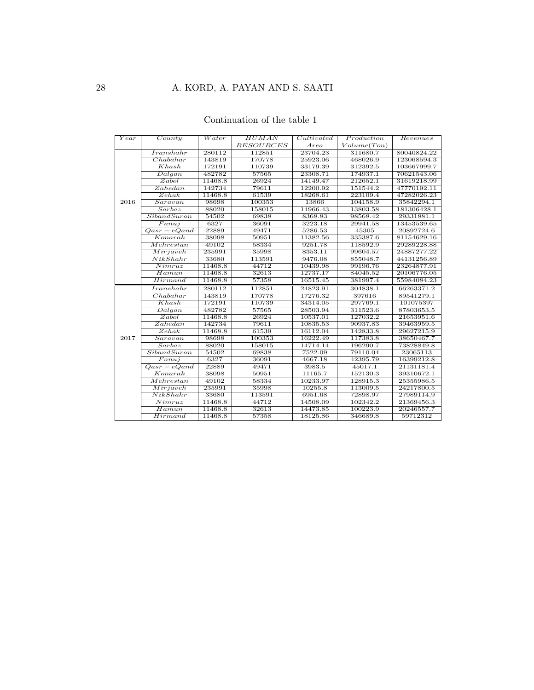### Continuation of the table 1

| Year | $\overline{Country}$      | $\overline{Water}$ | <b>HUMAN</b>     | Cultivated | Production  | Revenues    |
|------|---------------------------|--------------------|------------------|------------|-------------|-------------|
|      |                           |                    | <b>RESOURCES</b> | Area       | Volume(Ton) |             |
|      | $\overline{Iranshahr}$    | 280112             | 112851           | 23704.23   | 311680.7    | 80040824.22 |
|      | Chabahar                  | 143819             | 170778           | 25923.06   | 468026.9    | 123068594.3 |
|      | Khash                     | 172191             | 110739           | 33179.39   | 312392.5    | 103667999.7 |
|      | Dalgan                    | 482782             | 57565            | 23308.71   | 174937.1    | 70621543.06 |
|      | Zabol                     | 11468.8            | 26924            | 14149.47   | 212652.1    | 31619218.99 |
|      | Zahedan                   | 142734             | 79611            | 12200.92   | 151544.2    | 47770192.11 |
|      | Zehak                     | 11468.8            | 61539            | 18268.61   | 223109.4    | 47282026.23 |
| 2016 | Saravan                   | 98698              | 100353           | 13866      | 104158.9    | 35842294.1  |
|      | Sarbaz                    | 88020              | 158015           | 14966.43   | 13803.58    | 181306428.1 |
|      | SibandSuran               | 54502              | 69838            | 8368.83    | 98568.42    | 29331881.1  |
|      | $\overline{Fanuj}$        | 6327               | 36091            | 3223.18    | 29941.58    | 13453539.65 |
|      | $\overline{Qasr - eQand}$ | 22889              | 49471            | 5286.53    | 45305       | 20892724.6  |
|      | Konarak                   | 38098              | 50951            | 11382.56   | 335387.6    | 81154629.16 |
|      | Mehr est an               | 49102              | 58334            | 9251.78    | 118592.9    | 29289228.88 |
|      | Mirjaveh                  | 235991             | 35998            | 8353.11    | 99604.57    | 24887277.22 |
|      | NikShahr                  | 33680              | 113591           | 9476.08    | 855048.7    | 44131256.89 |
|      | $\overline{Nimruz}$       | 11468.8            | 44712            | 10439.98   | 99196.76    | 23264877.91 |
|      | Hamun                     | 11468.8            | 32613            | 12737.17   | 84045.52    | 20106776.05 |
|      | Hirmand                   | 11468.8            | 57358            | 16515.45   | 381997.4    | 55984084.23 |
|      | Iranshahr                 | 280112             | 112851           | 24823.91   | 304838.1    | 66263371.2  |
|      | Chabahar                  | 143819             | 170778           | 17276.32   | 397616      | 89541279.1  |
|      | Khash                     | 172191             | 110739           | 34314.05   | 297769.1    | 101075397   |
|      | Dalgan                    | 482782             | 57565            | 28503.94   | 311523.6    | 87803653.5  |
|      | Zabol                     | 11468.8            | 26924            | 10537.01   | 127032.2    | 21653951.6  |
|      | Zahedan                   | 142734             | 79611            | 10835.53   | 90937.83    | 39463959.5  |
|      | Zehak                     | 11468.8            | 61539            | 16112.04   | 142833.8    | 29627215.9  |
| 2017 | Saravan                   | 98698              | 100353           | 16222.49   | 117383.8    | 38650467.7  |
|      | Sarbaz                    | 88020              | 158015           | 14714.14   | 196290.7    | 73828849.8  |
|      | SibandSuran               | 54502              | 69838            | 7522.09    | 79110.04    | 23065113    |
|      | Faniij                    | 6327               | 36091            | 4667.18    | 42395.79    | 16399212.8  |
|      | $\overline{Qasr - eQand}$ | 22889              | 49471            | 3983.5     | 45017.1     | 21131181.4  |
|      | $\overline{Konarak}$      | 38098              | 50951            | 11165.7    | 152130.3    | 39310672.1  |
|      | Mehrestan                 | 49102              | 58334            | 10233.97   | 128915.3    | 25355986.5  |
|      | $\overline{Mirjav}$ ch    | 235991             | 35998            | 10255.8    | 113009.5    | 24217800.5  |
|      | NikShahr                  | 33680              | 113591           | 6951.68    | 72898.97    | 27989114.9  |
|      | $\overline{Nimruz}$       | 11468.8            | 44712            | 14508.09   | 102342.2    | 21369456.3  |
|      | Hamun                     | 11468.8            | 32613            | 14473.85   | 100223.9    | 20246557.7  |
|      | Hirmand                   | 11468.8            | 57358            | 18125.86   | 346689.8    | 59712312    |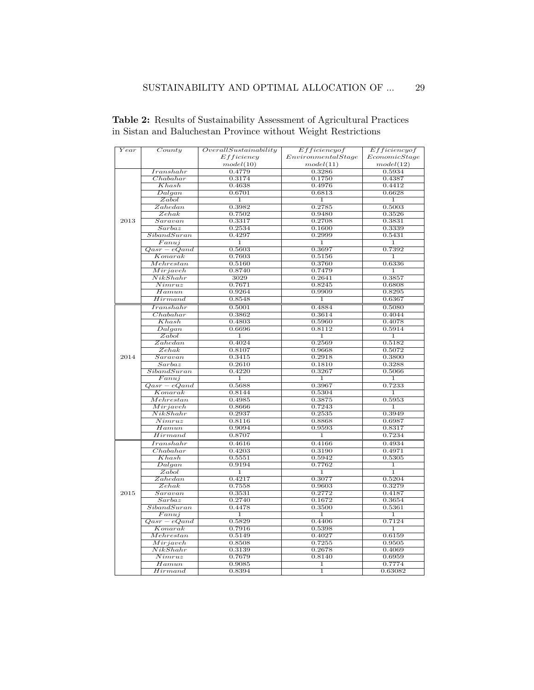| $\overline{Year}$ | Country             | Overall Sustainability | Efficiency of      | Efficiency of  |  |  |
|-------------------|---------------------|------------------------|--------------------|----------------|--|--|
|                   |                     | Efficiency             | EnvironmentalStage | EconomicStage  |  |  |
|                   |                     | model(10)              | model(11)          | model(12)      |  |  |
|                   | $_{Iranshahr}$      | 0.4779                 | 0.3286             | 0.5934         |  |  |
|                   | Chabahar            | 0.3174                 | 0.1750             | 0.4387         |  |  |
|                   | Khash               | 0.4638                 | 0.4976             | 0.4412         |  |  |
|                   | Dalgan              | 0.6701                 | 0.6813             | 0.6628         |  |  |
|                   | Zabol               | 1                      | 1                  | 1              |  |  |
|                   | Zahedan             | 0.3982                 | 0.2785             | 0.5003         |  |  |
|                   | Zehak               | 0.7502                 | 0.9480             | 0.3526         |  |  |
| 2013              | Saravan             | 0.3317                 | 0.2708             | 0.3831         |  |  |
|                   | Sarbaz              | 0.2534                 | 0.1600             | 0.3339         |  |  |
|                   | Siband Suran        | 0.4297                 | 0.2999             | 0.5431         |  |  |
|                   | Fanuj               | 1                      | 1                  | $\mathbf{1}$   |  |  |
|                   | $Qasr-eQand$        | 0.5603                 | 0.3697             | 0.7392         |  |  |
|                   | Konarak             | 0.7603                 | 0.5156             | 1              |  |  |
|                   | Mehrestan           | 0.5160                 | 0.3760             | 0.6336         |  |  |
|                   | Miriaveh            | 0.8740                 | 0.7479             | $\overline{1}$ |  |  |
|                   | NikShahr            | 3029                   | 0.2641             | 0.3857         |  |  |
|                   | $\overline{Nimruz}$ | 0.7671                 | 0.8245             | 0.6808         |  |  |
|                   | $\overline{Hamun}$  | 0.9264                 | 0.9909             | 0.8295         |  |  |
|                   | Hirmand             | 0.8548                 | $\mathbf 1$        | 0.6367         |  |  |
|                   | $_{Transhahr}$      | 0.5001                 | 0.4884             | 0.5080         |  |  |
|                   | Chabahar            | 0.3862                 | 0.3614             | 0.4044         |  |  |
|                   | Khash               | 0.4803                 | 0.5960             | 0.4078         |  |  |
|                   | Dalgan              | 0.6696                 | 0.8112             | 0.5914         |  |  |
|                   | Zabol               | 1                      | $\overline{1}$     | 1              |  |  |
|                   | Zahedan             | 0.4024                 | 0.2569             | 0.5182         |  |  |
| 2014              | Zehak               | 0.8107                 | 0.9668             | 0.5072         |  |  |
|                   | Saravan             | 0.3415                 | 0.2918             | 0.3800         |  |  |
|                   | Sarbaz              | 0.2610                 | 0.1810             | 0.3288         |  |  |
|                   | Siband Suran        | 0.4220                 | 0.3267             | 0.5066         |  |  |
|                   | $\overline{Fanuj}$  | 1                      | 1                  | 1              |  |  |
|                   | $Qasr-eQand$        | 0.5688                 | 0.3967             | 0.7233         |  |  |
|                   | Konarak             | 0.8144                 | 0.5304             | $\mathbf{1}$   |  |  |
|                   | Mehrestan           | 0.4985                 | 0.3875             | 0.5953         |  |  |
|                   | Mirjaveh            | 0.8666                 | 0.7243             | 1              |  |  |
|                   | NikShahr            | 0.2937                 | 0.2535             | 0.3949         |  |  |
|                   | Nimruz              | 0.8116                 | 0.8868             | 0.6987         |  |  |
|                   | Hamm                | 0.9094                 | 0.9593             | 0.8317         |  |  |
|                   | Hirmand             | 0.8707                 | $\bf{1}$           | 0.7234         |  |  |
|                   | $_{Iranshahr}$      | 0.4616                 | 0.4166             | 0.4934         |  |  |
|                   | Chabahar            | 0.4203                 | 0.3190             | 0.4971         |  |  |
|                   | Khash               | 0.5551                 | 0.5942             | 0.5305         |  |  |
|                   | Dalgan              | 0.9194                 | 0.7762             | 1              |  |  |
|                   | Zabol               | $\mathbf{1}$           | 1                  | 1              |  |  |
|                   | Zahedan             | 0.4217                 | 0.3077             | 0.5204         |  |  |
|                   | $\overline{Zehak}$  | 0.7558                 | 0.9603             | 0.3279         |  |  |
| 2015              | Saravan             | 0.3531                 | 0.2772             | 0.4187         |  |  |
|                   | Sarbaz              | 0.2740                 | 0.1672             | 0.3654         |  |  |
|                   | SibandSuran         | 0.4478                 | 0.3500             | 0.5361         |  |  |
|                   | Fanuj               | $\overline{1}$         | $\bf 1$            | $\overline{1}$ |  |  |
|                   | $Qasr-eQand$        | 0.5829                 | 0.4406             | 0.7124         |  |  |
|                   | Konarak             | 0.7916                 | 0.5398             | ī              |  |  |
|                   | Mehrestan           | 0.5149                 | 0.4027             | 0.6159         |  |  |
|                   | Mirjaveh            | 0.8508                 | 0.7255             | 0.9505         |  |  |
|                   | NikShahr            | 0.3139                 | 0.2678             | 0.4069         |  |  |
|                   | Nimruz              | 0.7679                 | 0.8140             | 0.6959         |  |  |
|                   | Hamm                | 0.9085                 | 1                  | 0.7774         |  |  |
|                   | Hirmand             | 0.8394                 | $\mathbf{1}$       | 0.63082        |  |  |
|                   |                     |                        |                    |                |  |  |

<span id="page-28-0"></span>Table 2: Results of Sustainability Assessment of Agricultural Practices in Sistan and Baluchestan Province without Weight Restrictions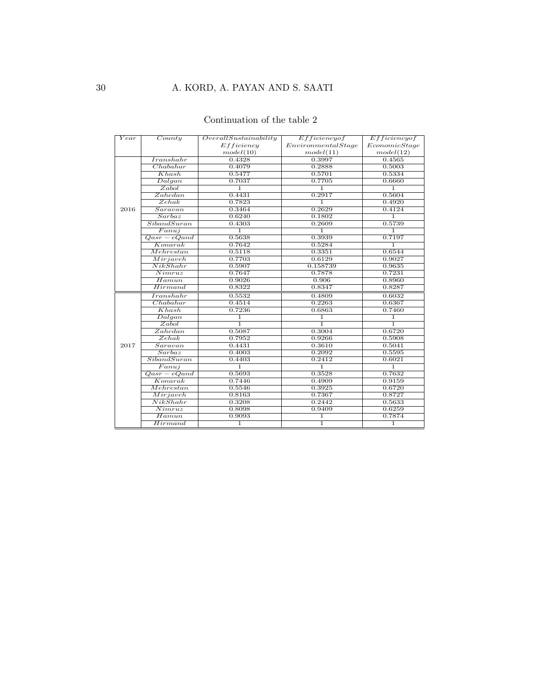### Continuation of the table 2

| Year | $\overline{Country}$    | OverallSustainability | Efficiency of       | Efficiency of |  |
|------|-------------------------|-----------------------|---------------------|---------------|--|
|      |                         | Efficiency            | Environmental Stage | EconomicStage |  |
|      |                         | model(10)             | model(11)           | model(12)     |  |
|      | Transbahr               | 0.4328                | 0.3997              | 0.4565        |  |
|      | Chabahar                | 0.4079                | 0.2888              | 0.5003        |  |
|      | Khash                   | 0.5477                | 0.5701              | 0.5334        |  |
|      | Dalgan                  | 0.7037                | 0.7705              | 0.6660        |  |
|      | Zabol                   | $\overline{1}$        | $\mathbf{1}$        | $\mathbf{1}$  |  |
|      | Zahedan                 | 0.4431                | 0.2917              | 0.5604        |  |
|      | Zehak                   | 0.7823                | $\overline{1}$      | 0.4920        |  |
| 2016 | Saravan                 | 0.3464                | 0.2629              | 0.4124        |  |
|      | Sarbaz                  | 0.6240                | 0.1802              | 1.            |  |
|      | SibandSuran             | 0.4303                | 0.2609              | 0.5739        |  |
|      | Fanuj                   | $\overline{1}$        | $\overline{1}$      | $\mathbf{1}$  |  |
|      | $Qasr-eQand$            | 0.5638                | 0.3939              | 0.7197        |  |
|      | Konarak                 | 0.7642                | 0.5284              | ī             |  |
|      | Mehr estan              | 0.5118                | 0.3351              | 0.6544        |  |
|      | Mirjaveh                | 0.7703                | 0.6129              | 0.9027        |  |
|      | NikShahr                | 0.5907                | 0.158739            | 0.9635        |  |
|      | Nimruz                  | 0.7647                | 0.7878              | 0.7231        |  |
|      | Hamun                   | 0.9026                | 0.906               | 0.8960        |  |
|      | Hirmand                 | 0.8322                | 0.8347              | 0.8287        |  |
|      | Iranshahr               | 0.5532                | 0.4809              | 0.6032        |  |
|      | Chabahar                | 0.4514                | 0.2263              | 0.6367        |  |
|      | Khash                   | 0.7236                | 0.6863              | 0.7460        |  |
|      | $\overline{Dalgan}$     | 1                     | 1                   | $\mathbf{1}$  |  |
|      | Zabol                   | $\overline{1}$        | $\overline{1}$      | ī             |  |
|      | Zahedan                 | 0.5087                | 0.3004              | 0.6720        |  |
|      | Zehak                   | 0.7952                | 0.9266              | 0.5908        |  |
| 2017 | Saravan                 | 0.4431                | 0.3610              | 0.5041        |  |
|      | Sarbaz                  | 0.4003                | 0.2092              | 0.5595        |  |
|      | SibandSuran             | 0.4403                | 0.2412              | 0.6021        |  |
|      | $\overline{Fanuj}$      | $\overline{1}$        | $\overline{1}$      | T             |  |
|      | $\overline{Qasr-eQand}$ | 0.5693                | 0.3528              | 0.7632        |  |
|      | Konarak                 | 0.7446                | 0.4909              | 0.9159        |  |
|      | Mehr estan              | 0.5546                | 0.3925              | 0.6720        |  |
|      | Mirjaveh                | 0.8163                | 0.7367              | 0.8727        |  |
|      | NikShahr                | 0.3208                | 0.2442              | 0.5633        |  |
|      | Nimruz                  | 0.8098                | 0.9409              | 0.6259        |  |
|      | Hamun                   | 0.9093                | $\mathbf{1}$        | 0.7874        |  |
|      | Hirmand                 | $\mathbf{1}$          | $\overline{1}$      | $\mathbf{1}$  |  |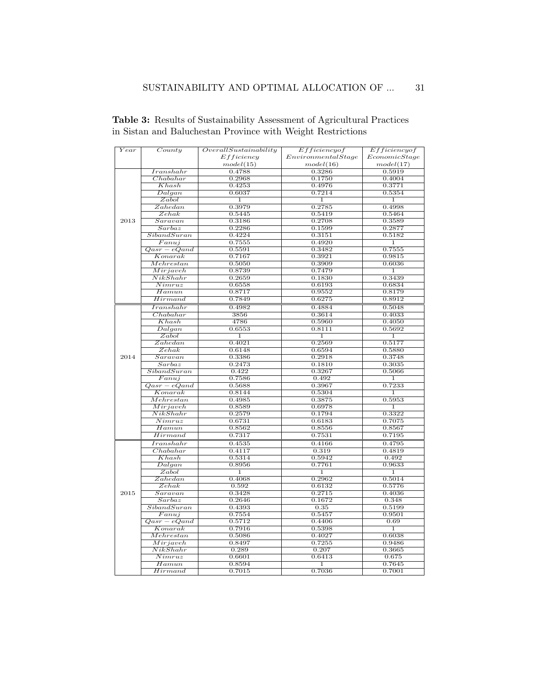| Year | County         | Overall Sustainability | Efficiency of      | Efficiency of  |  |
|------|----------------|------------------------|--------------------|----------------|--|
|      |                | Efficiency             | EnvironmentalStage | EconomicStage  |  |
|      |                | model(15)              | model(16)          | model(17)      |  |
|      | $_{Iranshahr}$ | 0.4788                 | 0.3286             | 0.5919         |  |
|      | Chabahar       | 0.2968                 | 0.1750             | 0.4004         |  |
|      | Khash          | 0.4253                 | 0.4976             | 0.3771         |  |
|      | Dalgan         | 0.6037                 | 0.7214             | 0.5354         |  |
|      | Zabol          | ī                      | 1                  | $\overline{1}$ |  |
|      | Zahedan        | 0.3979                 | 0.2785             | 0.4998         |  |
|      | Zehak          | 0.5445                 | 0.5419             | 0.5464         |  |
| 2013 | Saravan        | 0.3186                 | 0.2708             | 0.3589         |  |
|      | Sarbaz         | 0.2286                 | 0.1599             | 0.2877         |  |
|      | SibandSuran    | 0.4224                 | 0.3151             | 0.5182         |  |
|      | Fanuj          | 0.7555                 | 0.4920             | $\mathbf{1}$   |  |
|      | $Qasr-eQand$   | 0.5591                 | 0.3482             | 0.7555         |  |
|      | Konarak        | 0.7167                 | 0.3921             | 0.9815         |  |
|      | Mehrestan      | 0.5050                 | 0.3909             | 0.6036         |  |
|      | Miriaveh       | 0.8739                 | 0.7479             | $\overline{1}$ |  |
|      | NikShahr       | 0.2659                 | 0.1830             | 0.3439         |  |
|      | Nimruz         | 0.6558                 | 0.6193             | 0.6834         |  |
|      | Hamun          | 0.8717                 | 0.9552             | 0.8179         |  |
|      | Hirmand        | 0.7849                 | 0.6275             | 0.8912         |  |
|      | $_{Transhahr}$ |                        |                    |                |  |
|      |                | 0.4982                 | 0.4884             | 0.5048         |  |
|      | Chabahar       | 3856                   | 0.3614             | 0.4033         |  |
|      | Khash          | 4786                   | 0.5960             | 0.4050         |  |
|      | Dalgan         | 0.6553                 | 0.8111             | 0.5692         |  |
|      | Zabol          | $\mathbf{1}$           | 1                  | $\mathbf{1}$   |  |
|      | Zahedan        | 0.4021                 | 0.2569             | 0.5177         |  |
|      | Zehak          | 0.6148                 | 0.6594             | 0.5880         |  |
| 2014 | Saravan        | 0.3386                 | 0.2918             | 0.3748         |  |
|      | Sarbaz         | 0.2473                 | 0.1810             | 0.3035         |  |
|      | SibandSuran    | 0.422                  | 0.3267             | 0.5066         |  |
|      | Fanuj          | 0.7586                 | 0.492              | 1              |  |
|      | $Qasr-eQand$   | 0.5688                 | 0.3967             | 0.7233         |  |
|      | Konarak        | 0.8144                 | 0.5304             | 1              |  |
|      | Mehrestan      | 0.4985                 | 0.3875             | 0.5953         |  |
|      | Mirjaveh       | 0.8589                 | 0.6978             | 1              |  |
|      | NikShahr       | 0.2579                 | 0.1794             | 0.3322         |  |
|      | Nimruz         | 0.6731                 | 0.6183             | 0.7075         |  |
|      | Hamun          | 0.8562                 | 0.8556             | 0.8567         |  |
|      | Hirmand        | 0.7317                 | 0.7531             | 0.7195         |  |
|      | Iranshahr      | 0.4535                 | 0.4166             | 0.4795         |  |
|      | Chabahar       | 0.4117                 | 0.319              | 0.4819         |  |
|      | Khash          | 0.5314                 | 0.5942             | 0.492          |  |
|      | Dalgan         | 0.8956                 | 0.7761             | 0.9633         |  |
|      | Zabol          | $\mathbf{1}$           | $\mathbf{1}$       | $\mathbf{1}$   |  |
|      | Zahedan        | 0.4068                 | 0.2962             | 0.5014         |  |
|      | Zehak          | 0.592                  | 0.6132             | 0.5776         |  |
| 2015 | Saravan        | 0.3428                 | 0.2715             | 0.4036         |  |
|      | Sarbaz         | 0.2646                 | 0.1672             | 0.348          |  |
|      | SibandSuran    | 0.4393                 | 0.35               | 0.5199         |  |
|      | Fanuj          | 0.7554                 | 0.5457             | 0.9501         |  |
|      | $Qasr-eQand$   | 0.5712                 | 0.4406             | 0.69           |  |
|      | Konarak        | 0.7916                 | 0.5398             | 1              |  |
|      | Mehrestan      | 0.5086                 | 0.4027             | 0.6038         |  |
|      | Mirjaveh       | 0.8497                 | 0.7255             | 0.9486         |  |
|      | NikShahr       | 0.289                  | 0.207              | 0.3665         |  |
|      | Nimruz         | 0.6601                 | 0.6413             | 0.675          |  |
|      | Hamun          | 0.8594                 | 1                  | 0.7645         |  |
|      | Hirmand        | 0.7015                 | 0.7036             | 0.7001         |  |
|      |                |                        |                    |                |  |

<span id="page-30-0"></span>Table 3: Results of Sustainability Assessment of Agricultural Practices in Sistan and Baluchestan Province with Weight Restrictions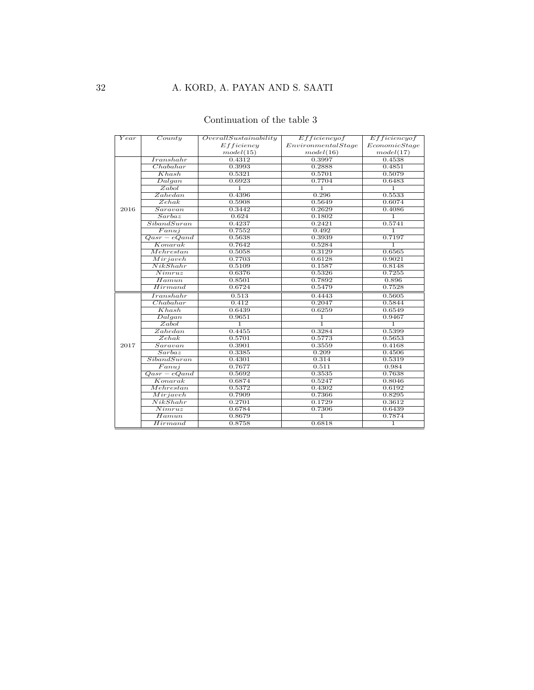### Continuation of the table 3

| Year | $\overline{Country}$    | Overall Sustainability | Efficiency of       | Efficiency of  |  |
|------|-------------------------|------------------------|---------------------|----------------|--|
|      |                         | Efficiency             | Environmental Stage | EconomicStage  |  |
|      |                         | model(15)              | model(16)           | model(17)      |  |
|      | Iranshahr               | 0.4312                 | 0.3997              | 0.4538         |  |
|      | Chabahar                | 0.3993                 | 0.2888              | 0.4851         |  |
|      | Khash                   | 0.5321                 | 0.5701              | 0.5079         |  |
|      | Dalgan                  | 0.6923                 | 0.7704              | 0.6483         |  |
|      | Zabol                   | $\overline{1}$         | $\overline{1}$      | $\overline{1}$ |  |
|      | Zahedan                 | 0.4396                 | 0.296               | 0.5533         |  |
|      | $\overline{Zehak}$      | 0.5908                 | 0.5649              | 0.6074         |  |
| 2016 | Saravan                 | 0.3442                 | 0.2629              | 0.4086         |  |
|      | Sarbaz                  | 0.624                  | 0.1802              | $\mathbf{1}$   |  |
|      | SibandSuran             | 0.4237                 | 0.2421              | 0.5741         |  |
|      | $\overline{Fanuj}$      | 0.7552                 | 0.492               | $\overline{1}$ |  |
|      | $Qasr-eQand$            | 0.5638                 | 0.3939              | 0.7197         |  |
|      | Konarak                 | 0.7642                 | 0.5284              | ī              |  |
|      | Mehr estan              | 0.5058                 | 0.3129              | 0.6565         |  |
|      | Mirjaveh                | 0.7703                 | 0.6128              | 0.9021         |  |
|      | NikShahr                | 0.5109                 | 0.1587              | 0.8148         |  |
|      | $\overline{Nimruz}$     | 0.6376                 | 0.5326              | 0.7255         |  |
|      | Hamun                   | 0.8501                 | 0.7892              | 0.896          |  |
|      | Hirmand                 | 0.6724                 | 0.5479              | 0.7528         |  |
|      | Iranshahr               | 0.513                  | 0.4443              | 0.5605         |  |
|      | Chabahar                | 0.412                  | 0.2047              | 0.5844         |  |
|      | Khash                   | 0.6439                 | 0.6259              | 0.6549         |  |
|      | Dalgan                  | 0.9651                 | $\overline{1}$      | 0.9467         |  |
|      | Zabol                   | $\overline{1}$         | $\overline{1}$      | $\overline{1}$ |  |
|      | Zahedan                 | 0.4455                 | 0.3284              | 0.5399         |  |
|      | Zehak                   | 0.5701                 | 0.5773              | 0.5653         |  |
| 2017 | Saravan                 | 0.3901                 | 0.3559              | 0.4168         |  |
|      | Sarbaz                  | 0.3385                 | 0.209               | 0.4506         |  |
|      | Siband Suran            | 0.4301                 | 0.314               | 0.5319         |  |
|      | Fanuj                   | 0.7677                 | 0.511               | 0.984          |  |
|      | $\overline{Qasr-eQand}$ | 0.5692                 | 0.3535              | 0.7638         |  |
|      | Konarak                 | 0.6874                 | 0.5247              | 0.8046         |  |
|      | Mehrestan               | 0.5372                 | 0.4302              | 0.6192         |  |
|      | Mirjaveh                | 0.7909                 | 0.7366              | 0.8295         |  |
|      | NikShahr                | 0.2701                 | 0.1729              | 0.3612         |  |
|      | Nimruz                  | 0.6784                 | 0.7306              | 0.6439         |  |
|      | $\overline{Ham}$ un     | 0.8679                 | $\overline{1}$      | 0.7874         |  |
|      | Hirmand                 | 0.8758                 | 0.6818              | $\mathbf{1}$   |  |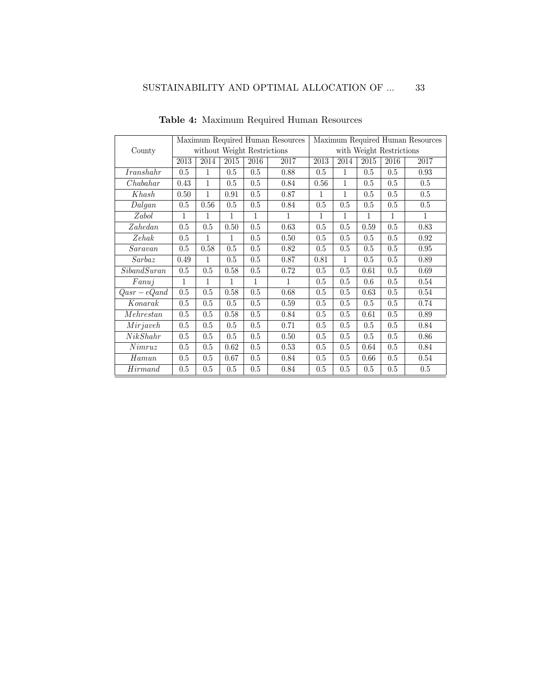<span id="page-32-0"></span>

|              | Maximum Required Human Resources |              |         |              |              | Maximum Required Human Resources |                          |              |      |              |  |
|--------------|----------------------------------|--------------|---------|--------------|--------------|----------------------------------|--------------------------|--------------|------|--------------|--|
| County       | without Weight Restrictions      |              |         |              |              |                                  | with Weight Restrictions |              |      |              |  |
|              | $\overline{2013}$                | 2014         | 2015    | 2016         | 2017         | $\overline{2013}$                | 2014                     | 2015         | 2016 | 2017         |  |
| Iranshahr    | 0.5                              | $\mathbf{1}$ | 0.5     | 0.5          | 0.88         | 0.5                              | $\mathbf{1}$             | 0.5          | 0.5  | 0.93         |  |
| Chabahar     | 0.43                             | $\mathbf{1}$ | 0.5     | 0.5          | 0.84         | 0.56                             | $\mathbf{1}$             | 0.5          | 0.5  | 0.5          |  |
| Khash        | 0.50                             | $\mathbf{1}$ | 0.91    | 0.5          | 0.87         | $\mathbf 1$                      | 1                        | 0.5          | 0.5  | 0.5          |  |
| Dalgan       | 0.5                              | 0.56         | 0.5     | 0.5          | 0.84         | 0.5                              | $0.5\,$                  | 0.5          | 0.5  | 0.5          |  |
| Zabol        | 1                                | $\mathbf{1}$ | 1       | $\mathbf{1}$ | $\mathbf{1}$ | $\mathbf{1}$                     | $\mathbf{1}$             | $\mathbf{1}$ | 1    | $\mathbf{1}$ |  |
| Zahedan      | 0.5                              | 0.5          | 0.50    | $0.5\,$      | 0.63         | 0.5                              | $0.5\,$                  | 0.59         | 0.5  | 0.83         |  |
| Zehak        | 0.5                              | $\mathbf{1}$ | 1       | 0.5          | 0.50         | 0.5                              | 0.5                      | 0.5          | 0.5  | $\rm 0.92$   |  |
| Saravan      | 0.5                              | 0.58         | 0.5     | 0.5          | 0.82         | 0.5                              | $0.5\,$                  | 0.5          | 0.5  | 0.95         |  |
| Sarbaz       | 0.49                             | $\mathbf{1}$ | 0.5     | 0.5          | 0.87         | 0.81                             | $\mathbf{1}$             | 0.5          | 0.5  | 0.89         |  |
| Siband Suran | 0.5                              | 0.5          | 0.58    | 0.5          | 0.72         | 0.5                              | 0.5                      | 0.61         | 0.5  | 0.69         |  |
| Fanuj        | $\mathbf{1}$                     | $\mathbf{1}$ | 1       | $\mathbf{1}$ | $\mathbf{1}$ | $0.5\,$                          | $0.5\,$                  | 0.6          | 0.5  | 0.54         |  |
| $Qasr-eQand$ | 0.5                              | 0.5          | 0.58    | 0.5          | 0.68         | 0.5                              | 0.5                      | 0.63         | 0.5  | 0.54         |  |
| Konarak      | 0.5                              | 0.5          | $0.5\,$ | $0.5\,$      | $0.59\,$     | $0.5\,$                          | $0.5\,$                  | 0.5          | 0.5  | 0.74         |  |
| Mehrestan    | 0.5                              | 0.5          | 0.58    | 0.5          | 0.84         | 0.5                              | 0.5                      | 0.61         | 0.5  | 0.89         |  |
| Mirjaveh     | 0.5                              | 0.5          | 0.5     | 0.5          | 0.71         | 0.5                              | 0.5                      | 0.5          | 0.5  | 0.84         |  |
| NikShahr     | 0.5                              | 0.5          | 0.5     | 0.5          | 0.50         | 0.5                              | 0.5                      | 0.5          | 0.5  | 0.86         |  |
| Nimruz       | 0.5                              | 0.5          | 0.62    | 0.5          | 0.53         | 0.5                              | 0.5                      | 0.64         | 0.5  | $0.84\,$     |  |
| Hamun        | 0.5                              | 0.5          | 0.67    | 0.5          | 0.84         | 0.5                              | 0.5                      | 0.66         | 0.5  | 0.54         |  |
| Hirm and     | 0.5                              | 0.5          | 0.5     | 0.5          | 0.84         | 0.5                              | 0.5                      | 0.5          | 0.5  | 0.5          |  |

Table 4: Maximum Required Human Resources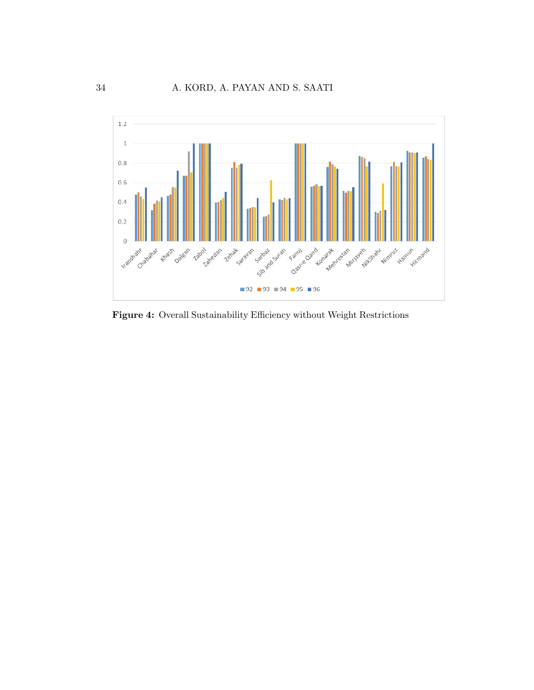<span id="page-33-0"></span>

Figure 4: Overall Sustainability Efficiency without Weight Restrictions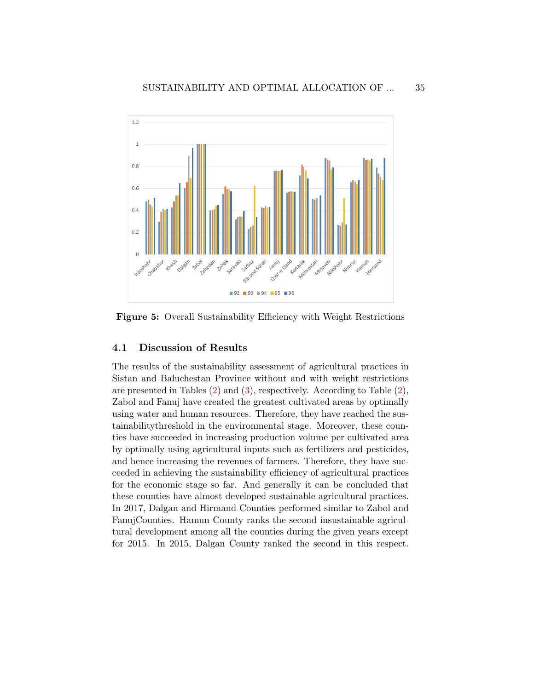<span id="page-34-0"></span>

Figure 5: Overall Sustainability Efficiency with Weight Restrictions

#### 4.1 Discussion of Results

The results of the sustainability assessment of agricultural practices in Sistan and Baluchestan Province without and with weight restrictions are presented in Tables [\(2\)](#page-28-0) and [\(3\)](#page-30-0), respectively. According to Table [\(2\)](#page-28-0), Zabol and Fanuj have created the greatest cultivated areas by optimally using water and human resources. Therefore, they have reached the sustainabilitythreshold in the environmental stage. Moreover, these counties have succeeded in increasing production volume per cultivated area by optimally using agricultural inputs such as fertilizers and pesticides, and hence increasing the revenues of farmers. Therefore, they have succeeded in achieving the sustainability efficiency of agricultural practices for the economic stage so far. And generally it can be concluded that these counties have almost developed sustainable agricultural practices. In 2017, Dalgan and Hirmand Counties performed similar to Zabol and FanujCounties. Hamun County ranks the second insustainable agricultural development among all the counties during the given years except for 2015. In 2015, Dalgan County ranked the second in this respect.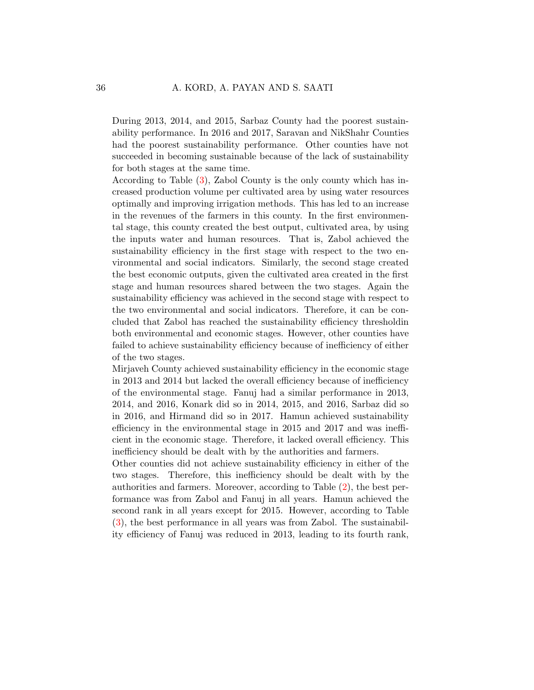During 2013, 2014, and 2015, Sarbaz County had the poorest sustainability performance. In 2016 and 2017, Saravan and NikShahr Counties had the poorest sustainability performance. Other counties have not succeeded in becoming sustainable because of the lack of sustainability for both stages at the same time.

According to Table [\(3\)](#page-30-0), Zabol County is the only county which has increased production volume per cultivated area by using water resources optimally and improving irrigation methods. This has led to an increase in the revenues of the farmers in this county. In the first environmental stage, this county created the best output, cultivated area, by using the inputs water and human resources. That is, Zabol achieved the sustainability efficiency in the first stage with respect to the two environmental and social indicators. Similarly, the second stage created the best economic outputs, given the cultivated area created in the first stage and human resources shared between the two stages. Again the sustainability efficiency was achieved in the second stage with respect to the two environmental and social indicators. Therefore, it can be concluded that Zabol has reached the sustainability efficiency thresholdin both environmental and economic stages. However, other counties have failed to achieve sustainability efficiency because of inefficiency of either of the two stages.

Mirjaveh County achieved sustainability efficiency in the economic stage in 2013 and 2014 but lacked the overall efficiency because of inefficiency of the environmental stage. Fanuj had a similar performance in 2013, 2014, and 2016, Konark did so in 2014, 2015, and 2016, Sarbaz did so in 2016, and Hirmand did so in 2017. Hamun achieved sustainability efficiency in the environmental stage in 2015 and 2017 and was inefficient in the economic stage. Therefore, it lacked overall efficiency. This inefficiency should be dealt with by the authorities and farmers.

Other counties did not achieve sustainability efficiency in either of the two stages. Therefore, this inefficiency should be dealt with by the authorities and farmers. Moreover, according to Table [\(2\)](#page-28-0), the best performance was from Zabol and Fanuj in all years. Hamun achieved the second rank in all years except for 2015. However, according to Table [\(3\)](#page-30-0), the best performance in all years was from Zabol. The sustainability efficiency of Fanuj was reduced in 2013, leading to its fourth rank,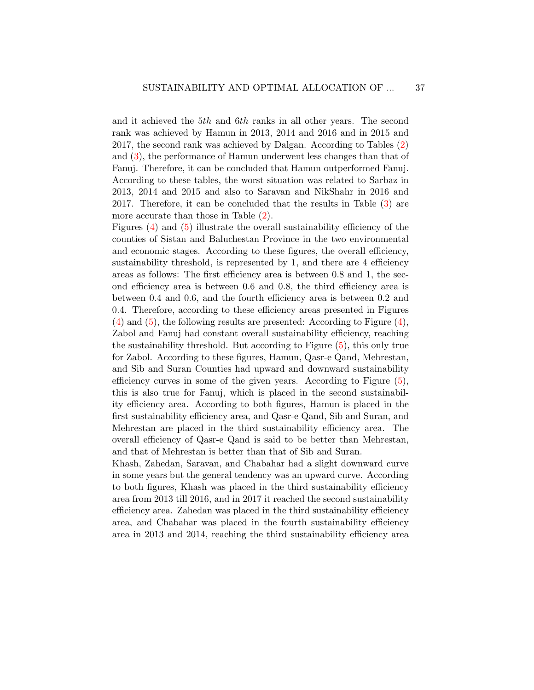and it achieved the 5th and 6th ranks in all other years. The second rank was achieved by Hamun in 2013, 2014 and 2016 and in 2015 and 2017, the second rank was achieved by Dalgan. According to Tables [\(2\)](#page-28-0) and [\(3\)](#page-30-0), the performance of Hamun underwent less changes than that of Fanuj. Therefore, it can be concluded that Hamun outperformed Fanuj. According to these tables, the worst situation was related to Sarbaz in 2013, 2014 and 2015 and also to Saravan and NikShahr in 2016 and 2017. Therefore, it can be concluded that the results in Table [\(3\)](#page-30-0) are more accurate than those in Table [\(2\)](#page-28-0).

Figures [\(4\)](#page-33-0) and [\(5\)](#page-34-0) illustrate the overall sustainability efficiency of the counties of Sistan and Baluchestan Province in the two environmental and economic stages. According to these figures, the overall efficiency, sustainability threshold, is represented by 1, and there are 4 efficiency areas as follows: The first efficiency area is between 0.8 and 1, the second efficiency area is between 0.6 and 0.8, the third efficiency area is between 0.4 and 0.6, and the fourth efficiency area is between 0.2 and 0.4. Therefore, according to these efficiency areas presented in Figures  $(4)$  and  $(5)$ , the following results are presented: According to Figure  $(4)$ , Zabol and Fanuj had constant overall sustainability efficiency, reaching the sustainability threshold. But according to Figure [\(5\)](#page-34-0), this only true for Zabol. According to these figures, Hamun, Qasr-e Qand, Mehrestan, and Sib and Suran Counties had upward and downward sustainability efficiency curves in some of the given years. According to Figure [\(5\)](#page-34-0), this is also true for Fanuj, which is placed in the second sustainability efficiency area. According to both figures, Hamun is placed in the first sustainability efficiency area, and Qasr-e Qand, Sib and Suran, and Mehrestan are placed in the third sustainability efficiency area. The overall efficiency of Qasr-e Qand is said to be better than Mehrestan, and that of Mehrestan is better than that of Sib and Suran.

Khash, Zahedan, Saravan, and Chabahar had a slight downward curve in some years but the general tendency was an upward curve. According to both figures, Khash was placed in the third sustainability efficiency area from 2013 till 2016, and in 2017 it reached the second sustainability efficiency area. Zahedan was placed in the third sustainability efficiency area, and Chabahar was placed in the fourth sustainability efficiency area in 2013 and 2014, reaching the third sustainability efficiency area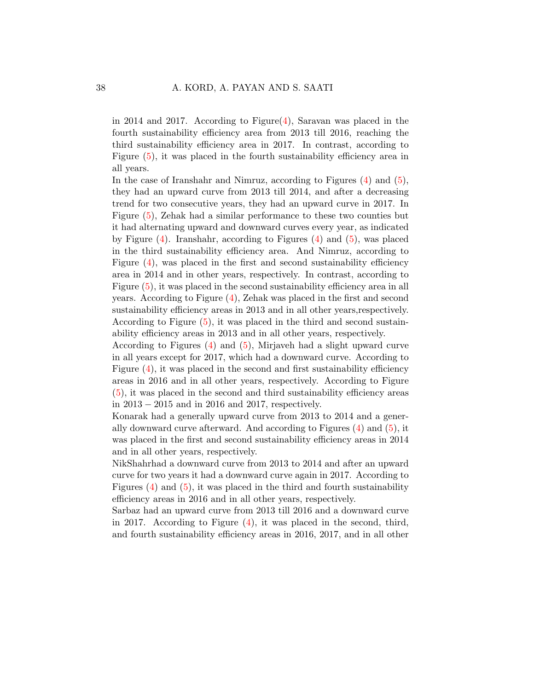in 2014 and 2017. According to Figure $(4)$ , Saravan was placed in the fourth sustainability efficiency area from 2013 till 2016, reaching the third sustainability efficiency area in 2017. In contrast, according to Figure [\(5\)](#page-34-0), it was placed in the fourth sustainability efficiency area in all years.

In the case of Iranshahr and Nimruz, according to Figures [\(4\)](#page-33-0) and [\(5\)](#page-34-0), they had an upward curve from 2013 till 2014, and after a decreasing trend for two consecutive years, they had an upward curve in 2017. In Figure [\(5\)](#page-34-0), Zehak had a similar performance to these two counties but it had alternating upward and downward curves every year, as indicated by Figure  $(4)$ . Iranshahr, according to Figures  $(4)$  and  $(5)$ , was placed in the third sustainability efficiency area. And Nimruz, according to Figure [\(4\)](#page-33-0), was placed in the first and second sustainability efficiency area in 2014 and in other years, respectively. In contrast, according to Figure [\(5\)](#page-34-0), it was placed in the second sustainability efficiency area in all years. According to Figure [\(4\)](#page-33-0), Zehak was placed in the first and second sustainability efficiency areas in 2013 and in all other years,respectively. According to Figure  $(5)$ , it was placed in the third and second sustainability efficiency areas in 2013 and in all other years, respectively.

According to Figures [\(4\)](#page-33-0) and [\(5\)](#page-34-0), Mirjaveh had a slight upward curve in all years except for 2017, which had a downward curve. According to Figure  $(4)$ , it was placed in the second and first sustainability efficiency areas in 2016 and in all other years, respectively. According to Figure [\(5\)](#page-34-0), it was placed in the second and third sustainability efficiency areas in 2013 − 2015 and in 2016 and 2017, respectively.

Konarak had a generally upward curve from 2013 to 2014 and a generally downward curve afterward. And according to Figures  $(4)$  and  $(5)$ , it was placed in the first and second sustainability efficiency areas in 2014 and in all other years, respectively.

NikShahrhad a downward curve from 2013 to 2014 and after an upward curve for two years it had a downward curve again in 2017. According to Figures  $(4)$  and  $(5)$ , it was placed in the third and fourth sustainability efficiency areas in 2016 and in all other years, respectively.

Sarbaz had an upward curve from 2013 till 2016 and a downward curve in 2017. According to Figure [\(4\)](#page-33-0), it was placed in the second, third, and fourth sustainability efficiency areas in 2016, 2017, and in all other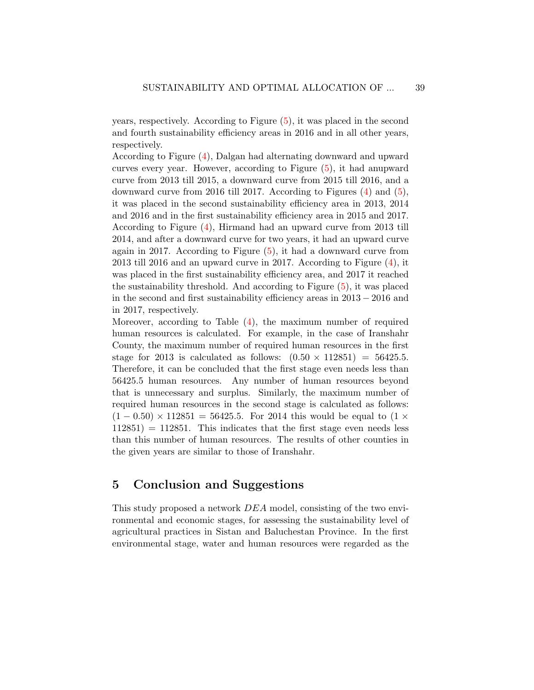years, respectively. According to Figure [\(5\)](#page-34-0), it was placed in the second and fourth sustainability efficiency areas in 2016 and in all other years, respectively.

According to Figure [\(4\)](#page-33-0), Dalgan had alternating downward and upward curves every year. However, according to Figure [\(5\)](#page-34-0), it had anupward curve from 2013 till 2015, a downward curve from 2015 till 2016, and a downward curve from 2016 till 2017. According to Figures [\(4\)](#page-33-0) and [\(5\)](#page-34-0), it was placed in the second sustainability efficiency area in 2013, 2014 and 2016 and in the first sustainability efficiency area in 2015 and 2017. According to Figure [\(4\)](#page-33-0), Hirmand had an upward curve from 2013 till 2014, and after a downward curve for two years, it had an upward curve again in 2017. According to Figure [\(5\)](#page-34-0), it had a downward curve from 2013 till 2016 and an upward curve in 2017. According to Figure [\(4\)](#page-33-0), it was placed in the first sustainability efficiency area, and 2017 it reached the sustainability threshold. And according to Figure  $(5)$ , it was placed in the second and first sustainability efficiency areas in 2013 − 2016 and in 2017, respectively.

Moreover, according to Table  $(4)$ , the maximum number of required human resources is calculated. For example, in the case of Iranshahr County, the maximum number of required human resources in the first stage for 2013 is calculated as follows:  $(0.50 \times 112851) = 56425.5$ . Therefore, it can be concluded that the first stage even needs less than 56425.5 human resources. Any number of human resources beyond that is unnecessary and surplus. Similarly, the maximum number of required human resources in the second stage is calculated as follows:  $(1 - 0.50) \times 112851 = 56425.5$ . For 2014 this would be equal to  $(1 \times$  $112851$  = 112851. This indicates that the first stage even needs less than this number of human resources. The results of other counties in the given years are similar to those of Iranshahr.

### <span id="page-38-0"></span>5 Conclusion and Suggestions

This study proposed a network DEA model, consisting of the two environmental and economic stages, for assessing the sustainability level of agricultural practices in Sistan and Baluchestan Province. In the first environmental stage, water and human resources were regarded as the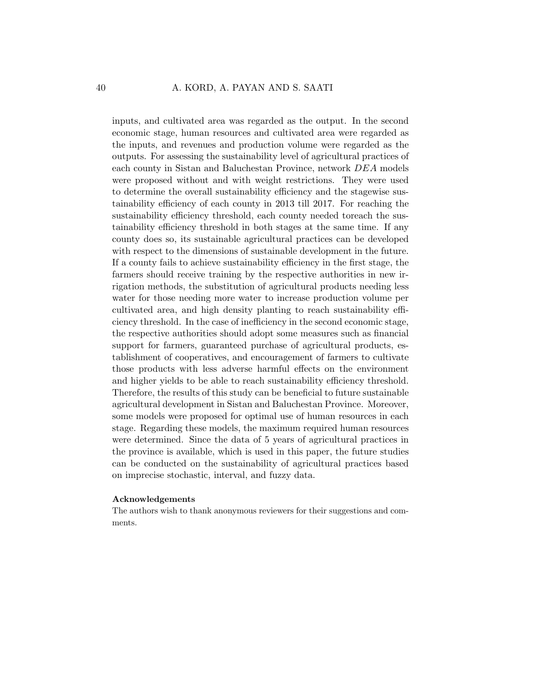inputs, and cultivated area was regarded as the output. In the second economic stage, human resources and cultivated area were regarded as the inputs, and revenues and production volume were regarded as the outputs. For assessing the sustainability level of agricultural practices of each county in Sistan and Baluchestan Province, network DEA models were proposed without and with weight restrictions. They were used to determine the overall sustainability efficiency and the stagewise sustainability efficiency of each county in 2013 till 2017. For reaching the sustainability efficiency threshold, each county needed toreach the sustainability efficiency threshold in both stages at the same time. If any county does so, its sustainable agricultural practices can be developed with respect to the dimensions of sustainable development in the future. If a county fails to achieve sustainability efficiency in the first stage, the farmers should receive training by the respective authorities in new irrigation methods, the substitution of agricultural products needing less water for those needing more water to increase production volume per cultivated area, and high density planting to reach sustainability efficiency threshold. In the case of inefficiency in the second economic stage, the respective authorities should adopt some measures such as financial support for farmers, guaranteed purchase of agricultural products, establishment of cooperatives, and encouragement of farmers to cultivate those products with less adverse harmful effects on the environment and higher yields to be able to reach sustainability efficiency threshold. Therefore, the results of this study can be beneficial to future sustainable agricultural development in Sistan and Baluchestan Province. Moreover, some models were proposed for optimal use of human resources in each stage. Regarding these models, the maximum required human resources were determined. Since the data of 5 years of agricultural practices in the province is available, which is used in this paper, the future studies can be conducted on the sustainability of agricultural practices based on imprecise stochastic, interval, and fuzzy data.

#### Acknowledgements

The authors wish to thank anonymous reviewers for their suggestions and comments.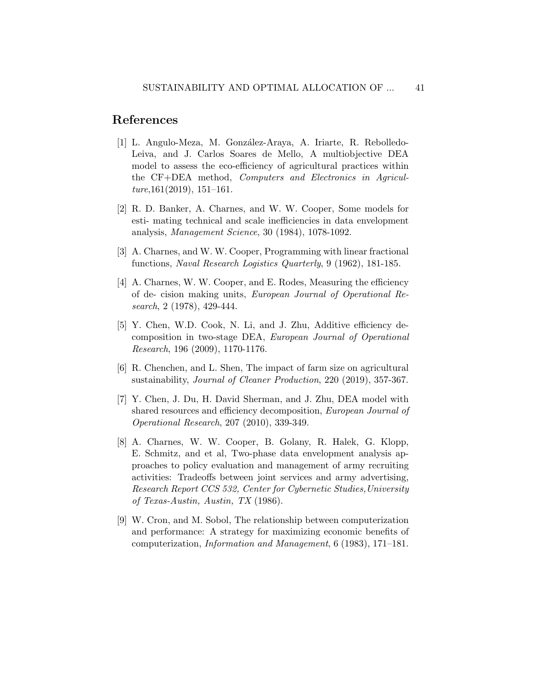### References

- <span id="page-40-3"></span>[1] L. Angulo-Meza, M. González-Araya, A. Iriarte, R. Rebolledo-Leiva, and J. Carlos Soares de Mello, A multiobjective DEA model to assess the eco-efficiency of agricultural practices within the CF+DEA method, Computers and Electronics in Agricul $ture, 161(2019), 151-161.$
- <span id="page-40-5"></span>[2] R. D. Banker, A. Charnes, and W. W. Cooper, Some models for esti- mating technical and scale inefficiencies in data envelopment analysis, Management Science, 30 (1984), 1078-1092.
- <span id="page-40-7"></span>[3] A. Charnes, and W. W. Cooper, Programming with linear fractional functions, Naval Research Logistics Quarterly, 9 (1962), 181-185.
- <span id="page-40-0"></span>[4] A. Charnes, W. W. Cooper, and E. Rodes, Measuring the efficiency of de- cision making units, European Journal of Operational Research, 2 (1978), 429-444.
- [5] Y. Chen, W.D. Cook, N. Li, and J. Zhu, Additive efficiency decomposition in two-stage DEA, European Journal of Operational Research, 196 (2009), 1170-1176.
- <span id="page-40-4"></span>[6] R. Chenchen, and L. Shen, The impact of farm size on agricultural sustainability, Journal of Cleaner Production, 220 (2019), 357-367.
- <span id="page-40-6"></span>[7] Y. Chen, J. Du, H. David Sherman, and J. Zhu, DEA model with shared resources and efficiency decomposition, European Journal of Operational Research, 207 (2010), 339-349.
- <span id="page-40-2"></span>[8] A. Charnes, W. W. Cooper, B. Golany, R. Halek, G. Klopp, E. Schmitz, and et al, Two-phase data envelopment analysis approaches to policy evaluation and management of army recruiting activities: Tradeoffs between joint services and army advertising, Research Report CCS 532, Center for Cybernetic Studies,University of Texas-Austin, Austin, TX (1986).
- <span id="page-40-1"></span>[9] W. Cron, and M. Sobol, The relationship between computerization and performance: A strategy for maximizing economic benefits of computerization, Information and Management, 6 (1983), 171–181.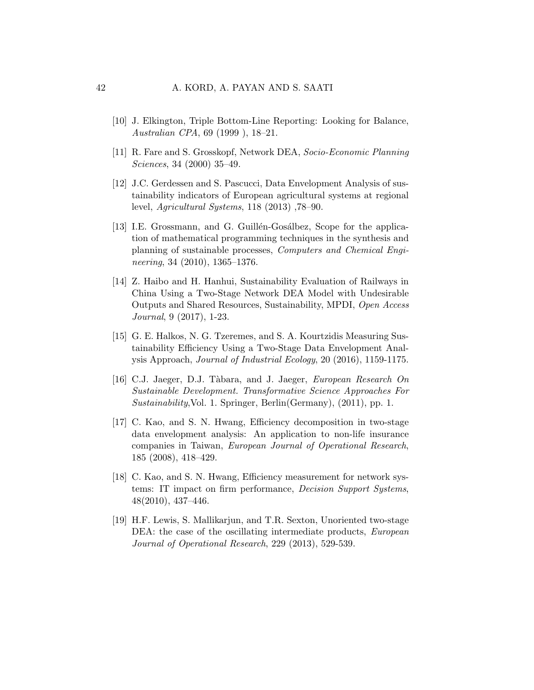- <span id="page-41-8"></span>[10] J. Elkington, Triple Bottom-Line Reporting: Looking for Balance, Australian CPA, 69 (1999 ), 18–21.
- <span id="page-41-3"></span>[11] R. Fare and S. Grosskopf, Network DEA, Socio-Economic Planning Sciences, 34 (2000) 35–49.
- <span id="page-41-0"></span>[12] J.C. Gerdessen and S. Pascucci, Data Envelopment Analysis of sustainability indicators of European agricultural systems at regional level, Agricultural Systems, 118 (2013) ,78–90.
- <span id="page-41-2"></span>[13] I.E. Grossmann, and G. Guillén-Gosálbez, Scope for the application of mathematical programming techniques in the synthesis and planning of sustainable processes, Computers and Chemical Engineering, 34 (2010), 1365–1376.
- <span id="page-41-6"></span>[14] Z. Haibo and H. Hanhui, Sustainability Evaluation of Railways in China Using a Two-Stage Network DEA Model with Undesirable Outputs and Shared Resources, Sustainability, MPDI, Open Access Journal, 9 (2017), 1-23.
- <span id="page-41-5"></span>[15] G. E. Halkos, N. G. Tzeremes, and S. A. Kourtzidis Measuring Sustainability Efficiency Using a Two-Stage Data Envelopment Analysis Approach, Journal of Industrial Ecology, 20 (2016), 1159-1175.
- <span id="page-41-1"></span>[16] C.J. Jaeger, D.J. Tàbara, and J. Jaeger, European Research On Sustainable Development. Transformative Science Approaches For Sustainability,Vol. 1. Springer, Berlin(Germany), (2011), pp. 1.
- <span id="page-41-7"></span>[17] C. Kao, and S. N. Hwang, Efficiency decomposition in two-stage data envelopment analysis: An application to non-life insurance companies in Taiwan, European Journal of Operational Research, 185 (2008), 418–429.
- [18] C. Kao, and S. N. Hwang, Efficiency measurement for network systems: IT impact on firm performance, Decision Support Systems, 48(2010), 437–446.
- <span id="page-41-4"></span>[19] H.F. Lewis, S. Mallikarjun, and T.R. Sexton, Unoriented two-stage DEA: the case of the oscillating intermediate products, *European* Journal of Operational Research, 229 (2013), 529-539.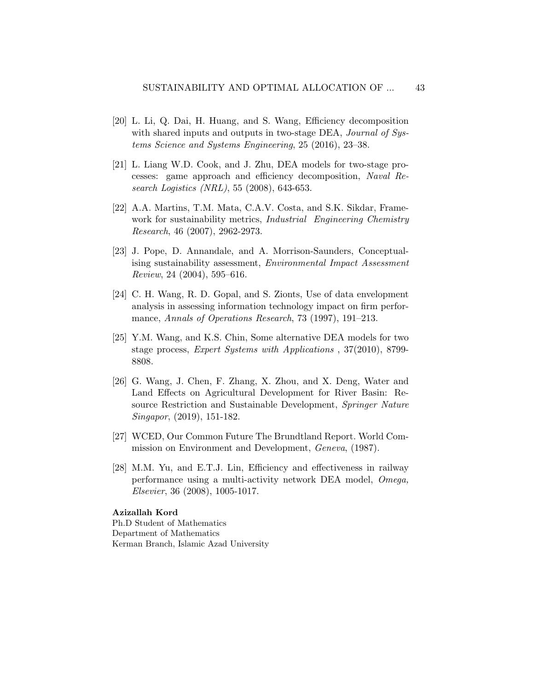- <span id="page-42-4"></span>[20] L. Li, Q. Dai, H. Huang, and S. Wang, Efficiency decomposition with shared inputs and outputs in two-stage DEA, *Journal of Sys*tems Science and Systems Engineering, 25 (2016), 23–38.
- <span id="page-42-6"></span>[21] L. Liang W.D. Cook, and J. Zhu, DEA models for two-stage processes: game approach and efficiency decomposition, Naval Research Logistics (NRL), 55 (2008), 643-653.
- <span id="page-42-1"></span>[22] A.A. Martins, T.M. Mata, C.A.V. Costa, and S.K. Sikdar, Framework for sustainability metrics, *Industrial Engineering Chemistry* Research, 46 (2007), 2962-2973.
- <span id="page-42-2"></span>[23] J. Pope, D. Annandale, and A. Morrison-Saunders, Conceptualising sustainability assessment, Environmental Impact Assessment Review, 24 (2004), 595–616.
- <span id="page-42-3"></span>[24] C. H. Wang, R. D. Gopal, and S. Zionts, Use of data envelopment analysis in assessing information technology impact on firm performance, Annals of Operations Research, 73 (1997), 191–213.
- <span id="page-42-7"></span>[25] Y.M. Wang, and K.S. Chin, Some alternative DEA models for two stage process, Expert Systems with Applications , 37(2010), 8799- 8808.
- <span id="page-42-5"></span>[26] G. Wang, J. Chen, F. Zhang, X. Zhou, and X. Deng, Water and Land Effects on Agricultural Development for River Basin: Resource Restriction and Sustainable Development, Springer Nature Singapor, (2019), 151-182.
- <span id="page-42-0"></span>[27] WCED, Our Common Future The Brundtland Report. World Commission on Environment and Development, Geneva, (1987).
- [28] M.M. Yu, and E.T.J. Lin, Efficiency and effectiveness in railway performance using a multi-activity network DEA model, Omega, Elsevier, 36 (2008), 1005-1017.

#### Azizallah Kord

Ph.D Student of Mathematics Department of Mathematics Kerman Branch, Islamic Azad University